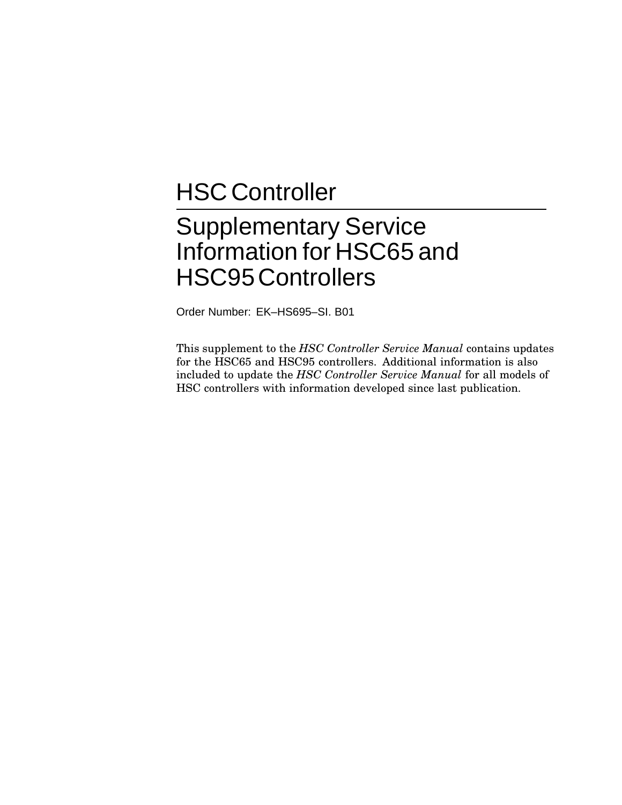# **HSC Controller**

# Supplementary Service Information for HSC65 and HSC95Controllers

Order Number: EK–HS695–SI. B01

This supplement to the *HSC Controller Service Manual* contains updates for the HSC65 and HSC95 controllers. Additional information is also included to update the *HSC Controller Service Manual* for all models of HSC controllers with information developed since last publication.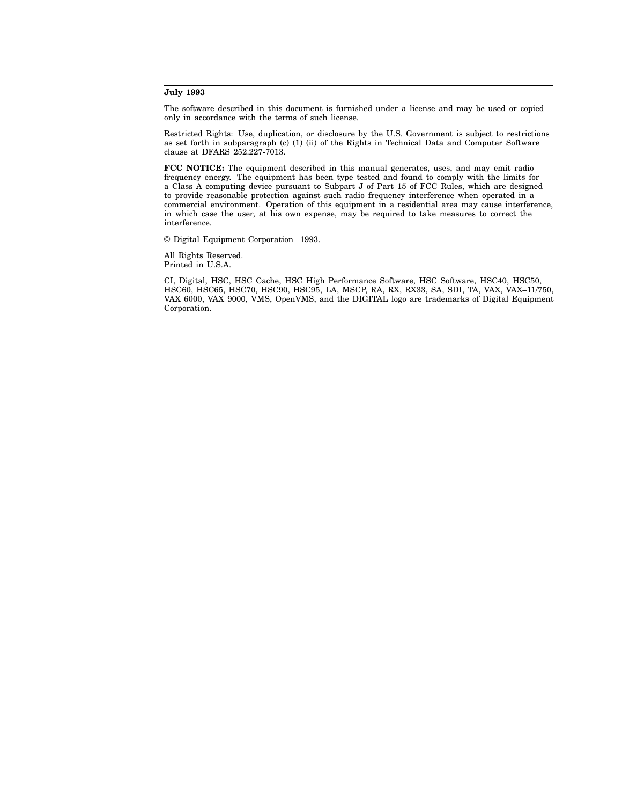#### **July 1993**

The software described in this document is furnished under a license and may be used or copied only in accordance with the terms of such license.

Restricted Rights: Use, duplication, or disclosure by the U.S. Government is subject to restrictions as set forth in subparagraph (c) (1) (ii) of the Rights in Technical Data and Computer Software clause at DFARS 252.227-7013.

**FCC NOTICE:** The equipment described in this manual generates, uses, and may emit radio frequency energy. The equipment has been type tested and found to comply with the limits for a Class A computing device pursuant to Subpart J of Part 15 of FCC Rules, which are designed to provide reasonable protection against such radio frequency interference when operated in a commercial environment. Operation of this equipment in a residential area may cause interference, in which case the user, at his own expense, may be required to take measures to correct the interference.

© Digital Equipment Corporation 1993.

All Rights Reserved. Printed in U.S.A.

CI, Digital, HSC, HSC Cache, HSC High Performance Software, HSC Software, HSC40, HSC50, HSC60, HSC65, HSC70, HSC90, HSC95, LA, MSCP, RA, RX, RX33, SA, SDI, TA, VAX, VAX–11/750, VAX 6000, VAX 9000, VMS, OpenVMS, and the DIGITAL logo are trademarks of Digital Equipment Corporation.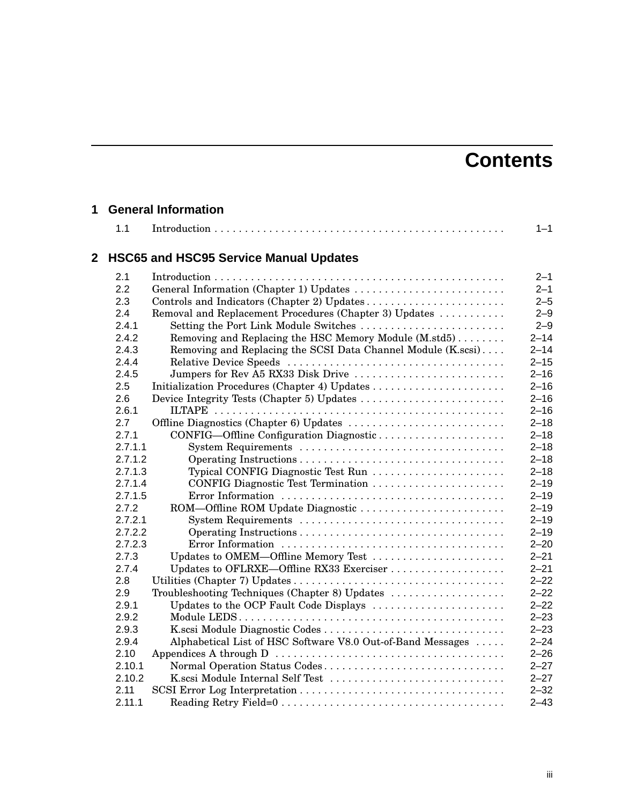# **Contents**

# **1 General Information**

|   | 1.1     |                                                              | $1 - 1$  |
|---|---------|--------------------------------------------------------------|----------|
| 2 |         | <b>HSC65 and HSC95 Service Manual Updates</b>                |          |
|   | 2.1     |                                                              | $2 - 1$  |
|   | 2.2     | General Information (Chapter 1) Updates                      | $2 - 1$  |
|   | 2.3     |                                                              | $2 - 5$  |
|   | 2.4     | Removal and Replacement Procedures (Chapter 3) Updates       | $2 - 9$  |
|   | 2.4.1   | Setting the Port Link Module Switches                        | $2 - 9$  |
|   | 2.4.2   | Removing and Replacing the HSC Memory Module (M.std5)        | $2 - 14$ |
|   | 2.4.3   | Removing and Replacing the SCSI Data Channel Module (K.scsi) | $2 - 14$ |
|   | 2.4.4   |                                                              | $2 - 15$ |
|   | 2.4.5   | Jumpers for Rev A5 RX33 Disk Drive                           | $2 - 16$ |
|   | 2.5     | Initialization Procedures (Chapter 4) Updates                | $2 - 16$ |
|   | 2.6     | Device Integrity Tests (Chapter 5) Updates                   | $2 - 16$ |
|   | 2.6.1   |                                                              | $2 - 16$ |
|   | 2.7     |                                                              | $2 - 18$ |
|   | 2.7.1   | CONFIG-Offline Configuration Diagnostic                      | $2 - 18$ |
|   | 2.7.1.1 |                                                              | $2 - 18$ |
|   | 2.7.1.2 |                                                              | $2 - 18$ |
|   | 2.7.1.3 | Typical CONFIG Diagnostic Test Run                           | $2 - 18$ |
|   | 2.7.1.4 | CONFIG Diagnostic Test Termination                           | $2 - 19$ |
|   | 2.7.1.5 |                                                              | $2 - 19$ |
|   | 2.7.2   | ROM-Offline ROM Update Diagnostic                            | $2 - 19$ |
|   | 2.7.2.1 |                                                              | $2 - 19$ |
|   | 2.7.2.2 |                                                              | $2 - 19$ |
|   | 2.7.2.3 |                                                              | $2 - 20$ |
|   | 2.7.3   | Updates to OMEM-Offline Memory Test                          | $2 - 21$ |
|   | 2.7.4   | Updates to OFLRXE-Offline RX33 Exerciser                     | $2 - 21$ |
|   | 2.8     |                                                              | $2 - 22$ |
|   | 2.9     | Troubleshooting Techniques (Chapter 8) Updates               | $2 - 22$ |
|   | 2.9.1   | Updates to the OCP Fault Code Displays                       | $2 - 22$ |
|   | 2.9.2   |                                                              | $2 - 23$ |
|   | 2.9.3   |                                                              | $2 - 23$ |
|   | 2.9.4   | Alphabetical List of HSC Software V8.0 Out-of-Band Messages  | $2 - 24$ |
|   | 2.10    |                                                              | $2 - 26$ |
|   | 2.10.1  | Normal Operation Status Codes                                | $2 - 27$ |
|   | 2.10.2  | K.scsi Module Internal Self Test                             | $2 - 27$ |
|   | 2.11    |                                                              | $2 - 32$ |
|   | 2.11.1  |                                                              | $2 - 43$ |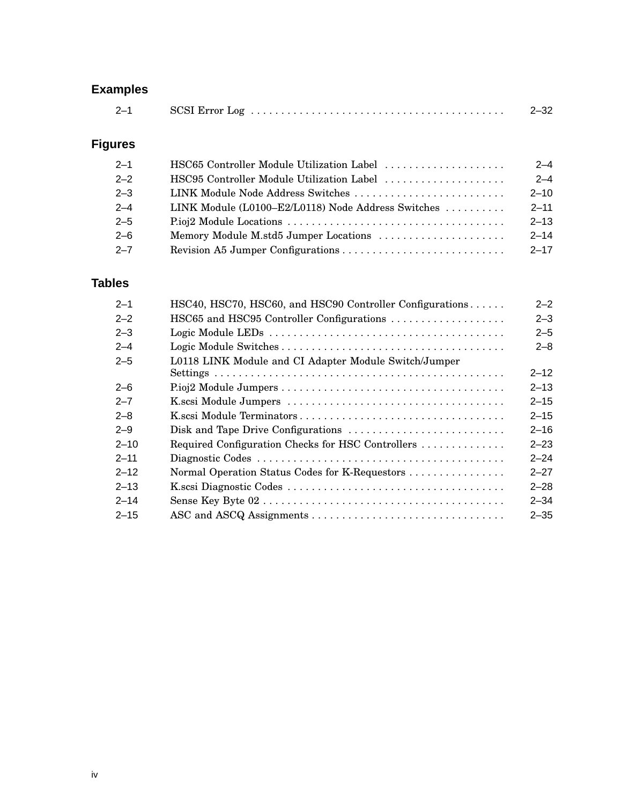# **Examples**

| $2 - 1$ | $SCSI$ $Error$ $Log$ $\ldots$ $\ldots$ $\ldots$ $\ldots$ $\ldots$ $\ldots$ $\ldots$ $\ldots$ $\ldots$ $\ldots$ | $2 - 32$ |
|---------|----------------------------------------------------------------------------------------------------------------|----------|
|---------|----------------------------------------------------------------------------------------------------------------|----------|

# **Figures**

| $2 - 1$ | HSC65 Controller Module Utilization Label          | $2 - 4$  |
|---------|----------------------------------------------------|----------|
| $2 - 2$ | HSC95 Controller Module Utilization Label          | $2 - 4$  |
| $2 - 3$ | LINK Module Node Address Switches                  | $2 - 10$ |
| $2 - 4$ | LINK Module (L0100–E2/L0118) Node Address Switches | $2 - 11$ |
| $2 - 5$ |                                                    | $2 - 13$ |
| $2 - 6$ | Memory Module M.std5 Jumper Locations              | $2 - 14$ |
| $2 - 7$ |                                                    | $2 - 17$ |

# **Tables**

| HSC65 and HSC95 Controller Configurations<br>$2 - 2$<br>$2 - 3$<br>$2 - 4$<br>L0118 LINK Module and CI Adapter Module Switch/Jumper<br>$2 - 5$<br>$2 - 6$<br>$2 - 7$<br>$2 - 8$<br>$2 - 9$<br>$2 - 10$<br>Required Configuration Checks for HSC Controllers<br>$2 - 11$<br>$2 - 12$<br>Normal Operation Status Codes for K-Requestors<br>$2 - 13$<br>$2 - 14$<br>$2 - 15$ | $2 - 1$ | HSC40, HSC70, HSC60, and HSC90 Controller Configurations | $2 - 2$  |
|---------------------------------------------------------------------------------------------------------------------------------------------------------------------------------------------------------------------------------------------------------------------------------------------------------------------------------------------------------------------------|---------|----------------------------------------------------------|----------|
|                                                                                                                                                                                                                                                                                                                                                                           |         |                                                          | $2 - 3$  |
|                                                                                                                                                                                                                                                                                                                                                                           |         |                                                          | $2 - 5$  |
|                                                                                                                                                                                                                                                                                                                                                                           |         |                                                          | $2 - 8$  |
|                                                                                                                                                                                                                                                                                                                                                                           |         |                                                          |          |
|                                                                                                                                                                                                                                                                                                                                                                           |         |                                                          | $2 - 12$ |
|                                                                                                                                                                                                                                                                                                                                                                           |         |                                                          | $2 - 13$ |
|                                                                                                                                                                                                                                                                                                                                                                           |         |                                                          | $2 - 15$ |
|                                                                                                                                                                                                                                                                                                                                                                           |         |                                                          | $2 - 15$ |
|                                                                                                                                                                                                                                                                                                                                                                           |         |                                                          | $2 - 16$ |
|                                                                                                                                                                                                                                                                                                                                                                           |         |                                                          | $2 - 23$ |
|                                                                                                                                                                                                                                                                                                                                                                           |         |                                                          | $2 - 24$ |
|                                                                                                                                                                                                                                                                                                                                                                           |         |                                                          | $2 - 27$ |
|                                                                                                                                                                                                                                                                                                                                                                           |         |                                                          | $2 - 28$ |
|                                                                                                                                                                                                                                                                                                                                                                           |         |                                                          | $2 - 34$ |
|                                                                                                                                                                                                                                                                                                                                                                           |         |                                                          | $2 - 35$ |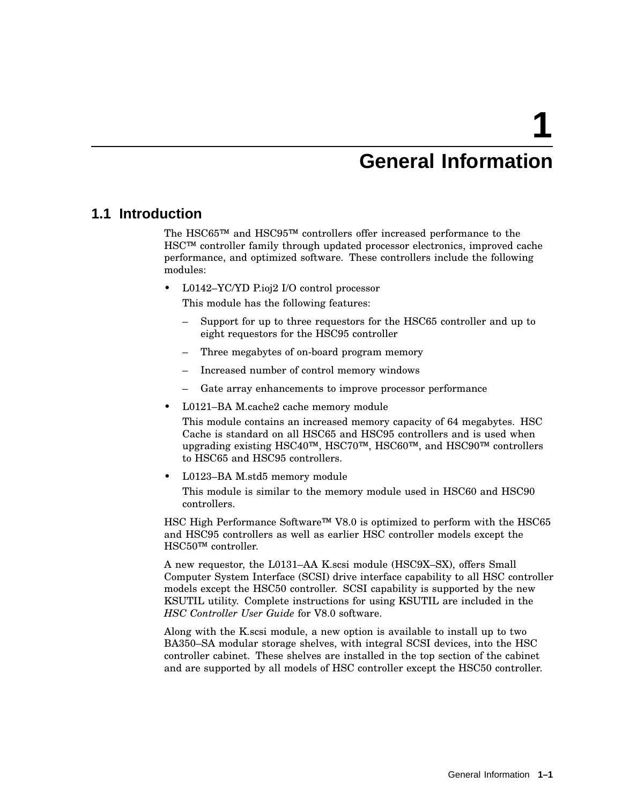# **1**

# **General Information**

# **1.1 Introduction**

The HSC65™ and HSC95™ controllers offer increased performance to the HSC™ controller family through updated processor electronics, improved cache performance, and optimized software. These controllers include the following modules:

• L0142–YC/YD P.ioj2 I/O control processor

This module has the following features:

- Support for up to three requestors for the HSC65 controller and up to eight requestors for the HSC95 controller
- Three megabytes of on-board program memory
- Increased number of control memory windows
- Gate array enhancements to improve processor performance
- L0121–BA M.cache2 cache memory module

This module contains an increased memory capacity of 64 megabytes. HSC Cache is standard on all HSC65 and HSC95 controllers and is used when upgrading existing HSC40™, HSC70™, HSC60™, and HSC90™ controllers to HSC65 and HSC95 controllers.

• L0123–BA M.std5 memory module

This module is similar to the memory module used in HSC60 and HSC90 controllers.

HSC High Performance Software™ V8.0 is optimized to perform with the HSC65 and HSC95 controllers as well as earlier HSC controller models except the HSC50™ controller.

A new requestor, the L0131–AA K.scsi module (HSC9X–SX), offers Small Computer System Interface (SCSI) drive interface capability to all HSC controller models except the HSC50 controller. SCSI capability is supported by the new KSUTIL utility. Complete instructions for using KSUTIL are included in the *HSC Controller User Guide* for V8.0 software.

Along with the K.scsi module, a new option is available to install up to two BA350–SA modular storage shelves, with integral SCSI devices, into the HSC controller cabinet. These shelves are installed in the top section of the cabinet and are supported by all models of HSC controller except the HSC50 controller.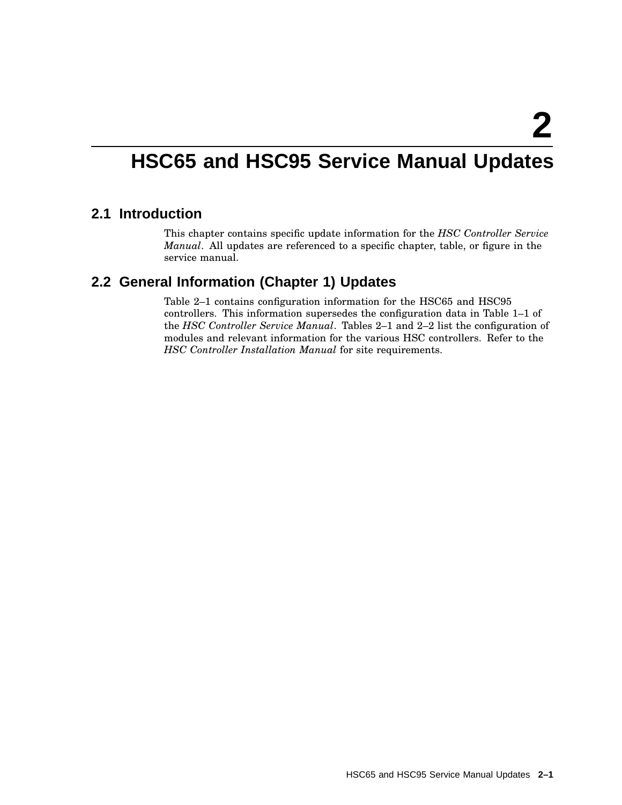# **HSC65 and HSC95 Service Manual Updates**

# **2.1 Introduction**

This chapter contains specific update information for the *HSC Controller Service Manual*. All updates are referenced to a specific chapter, table, or figure in the service manual.

# **2.2 General Information (Chapter 1) Updates**

Table 2–1 contains configuration information for the HSC65 and HSC95 controllers. This information supersedes the configuration data in Table 1–1 of the *HSC Controller Service Manual*. Tables 2–1 and 2–2 list the configuration of modules and relevant information for the various HSC controllers. Refer to the *HSC Controller Installation Manual* for site requirements.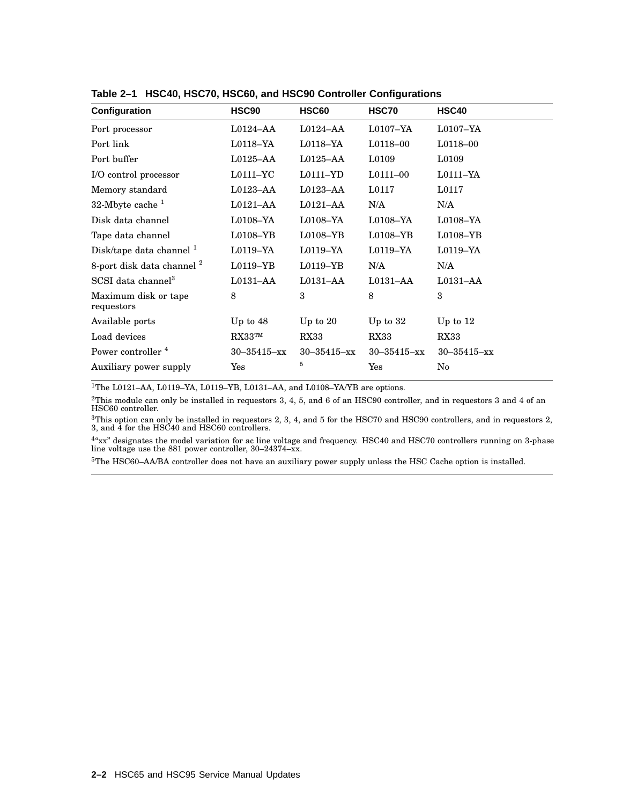| Configuration                         | <b>HSC90</b>         | <b>HSC60</b>      | HSC70                | <b>HSC40</b>      |
|---------------------------------------|----------------------|-------------------|----------------------|-------------------|
| Port processor                        | L0124–AA             | $L0124 - AA$      | $L0107 - YA$         | $L0107 - YA$      |
| Port link                             | $L0118-YA$           | $L0118-YA$        | $L0118 - 00$         | L0118-00          |
| Port buffer                           | L0125–AA             | $L0125-AA$        | L0109                | L0109             |
| I/O control processor                 | $L0111 - YC$         | $L0111 - YD$      | $L0111 - 00$         | $L0111-YA$        |
| Memory standard                       | L0123–AA             | $L0123-AA$        | L0117                | L0117             |
| 32-Mbyte cache $1$                    | L0121–AA             | $L0121 - AA$      | N/A                  | N/A               |
| Disk data channel                     | $L0108-YA$           | $L0108 - YA$      | $L0108-YA$           | $L0108 - YA$      |
| Tape data channel                     | $L0108 - YB$         | $L0108 - YB$      | $L0108 - YB$         | $L0108 - YB$      |
| Disk/tape data channel <sup>1</sup>   | $L0119-YA$           | $L0119-YA$        | $L0119-YA$           | $L0119-YA$        |
| 8-port disk data channel <sup>2</sup> | $L0119 - YB$         | $L0119 - YB$      | N/A                  | N/A               |
| SCSI data channel <sup>3</sup>        | L0131–AA             | L0131–AA          | L0131–AA             | L0131–AA          |
| Maximum disk or tape<br>requestors    | 8                    | 3                 | 8                    | 3                 |
| Available ports                       | Up to $48$           | Up to $20$        | Up to $32$           | Up to $12$        |
| Load devices                          | $\rm{RX33^{TM}}$     | RX33              | RX33                 | RX33              |
| Power controller <sup>4</sup>         | $30 - 35415 - xx$    | $30 - 35415 - xx$ | $30 - 35415 - xx$    | $30 - 35415 - xx$ |
| Auxiliary power supply                | $\operatorname{Yes}$ | 5                 | $\operatorname{Yes}$ | No                |
|                                       |                      |                   |                      |                   |

**Table 2–1 HSC40, HSC70, HSC60, and HSC90 Controller Configurations**

 $^{\rm 1}$  The L0121–AA, L0119–YA, L0119–YB, L0131–AA, and L0108–YA/YB are options.

 $^{2}$ This module can only be installed in requestors 3, 4, 5, and 6 of an HSC90 controller, and in requestors 3 and 4 of an<br>HSC60 controller.

 ${}^{3}\text{T}$ his option can only be installed in requestors 2, 3, 4, and 5 for the HSC70 and HSC90 controllers, and in requestors 2,<br>3, and 4 for the HSC40 and HSC60 controllers.

<sup>4</sup> xx" designates the model variation for ac line voltage and frequency. HSC40 and HSC70 controllers running on 3-phase<br>line voltage use the 881 power controller, 30–24374–xx.

<sup>5</sup>The HSC60–AA/BA controller does not have an auxiliary power supply unless the HSC Cache option is installed.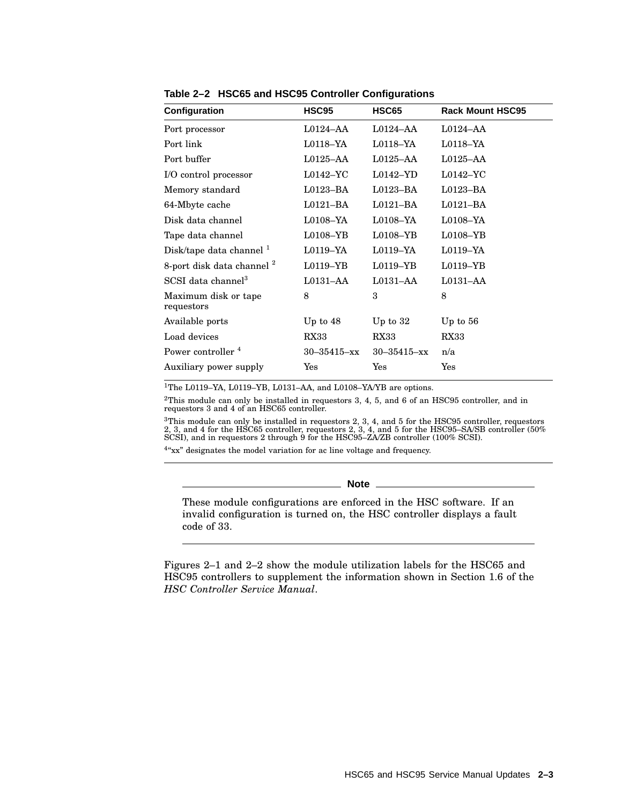| Configuration                         | HSC95             | HSC65                | <b>Rack Mount HSC95</b> |
|---------------------------------------|-------------------|----------------------|-------------------------|
| Port processor                        | $L0124 - AA$      | $L0124 - AA$         | $L0124 - AA$            |
| Port link                             | $L0118-YA$        | $L0118 - YA$         | $L0118 - YA$            |
| Port buffer                           | $L0125-AA$        | $L0125-AA$           | $L0125-AA$              |
| I/O control processor                 | $L0142 - YC$      | $L0142 - YD$         | $L0142 - YC$            |
| Memory standard                       | $L0123-BA$        | $L0123-BA$           | $L0123-BA$              |
| 64-Mbyte cache                        | $L0121 - BA$      | $L0121 - BA$         | $L0121 - BA$            |
| Disk data channel                     | $L0108-YA$        | $L0108 - YA$         | $L0108 - YA$            |
| Tape data channel                     | $L0108 - YB$      | $L0108 - YB$         | $L0108 - YB$            |
| Disk/tape data channel <sup>1</sup>   | $L0119-YA$        | $L0119-YA$           | $L0119-YA$              |
| 8-port disk data channel <sup>2</sup> | $L0119-YB$        | $L0119 - YB$         | $L0119 - YB$            |
| SCSI data channel <sup>3</sup>        | L0131–AA          | $L0131 - AA$         | L0131–AA                |
| Maximum disk or tape<br>requestors    | 8                 | 3                    | 8                       |
| Available ports                       | Up to $48$        | Up to $32$           | Up to $56$              |
| Load devices                          | RX33              | RX33                 | RX33                    |
| Power controller <sup>4</sup>         | $30 - 35415 - xx$ | $30 - 35415 - xx$    | n/a                     |
| Auxiliary power supply                | Yes               | $\operatorname{Yes}$ | Yes                     |

**Table 2–2 HSC65 and HSC95 Controller Configurations**

<sup>1</sup>The L0119–YA, L0119–YB, L0131–AA, and L0108–YA/YB are options.

<sup>2</sup>This module can only be installed in requestors 3, 4, 5, and 6 of an HSC95 controller, and in requestors 3 and 4 of an HSC65 controller.

 ${}^{3}$ This module can only be installed in requestors 2, 3, 4, and 5 for the HSC95 controller, requestors 2, 3, 4, and 5 for the HSC95–SA/SB controller (50%<br>SCSI), and in requestors 2 through 9 for the HSC95–ZA/ZB control

<sup>4</sup>"xx" designates the model variation for ac line voltage and frequency.

**Note**

These module configurations are enforced in the HSC software. If an invalid configuration is turned on, the HSC controller displays a fault code of 33.

Figures 2–1 and 2–2 show the module utilization labels for the HSC65 and HSC95 controllers to supplement the information shown in Section 1.6 of the *HSC Controller Service Manual*.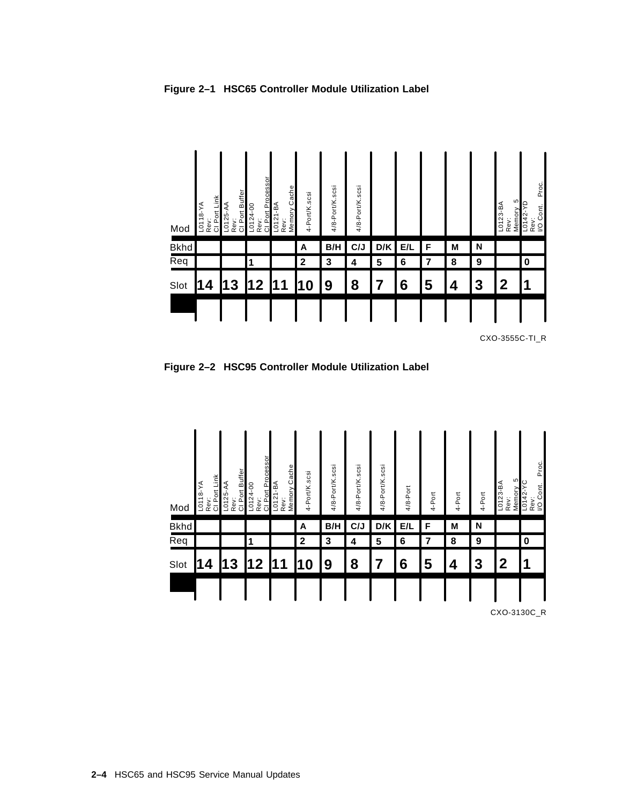

**Figure 2–1 HSC65 Controller Module Utilization Label**

CXO-3555C-TI\_R

**Figure 2–2 HSC95 Controller Module Utilization Label**

| Mod         | Rev:<br>Cl Port Link<br>$L0118 - YA$ | Rev:<br>CI Port Buffer<br>$L0125 - AA$ | Rev:<br>Cl Port Processor<br>$L0124 - 00$ | Memory Cache<br>$L0121-BA$<br>Rev: | 4-Port/K.scsi | 4/8-Port/K.scsi | 4/8-Port/K.scsi | 4/8-Port/K.scsi | 4/8-Port | 4-Port | 4-Port | 4-Port | <b>40</b><br>$\overline{LO}$ 123-BA<br>Memory<br>Rev: | Proc.<br>$L0142 - YC$<br>Rev:<br>I/O Cont. |
|-------------|--------------------------------------|----------------------------------------|-------------------------------------------|------------------------------------|---------------|-----------------|-----------------|-----------------|----------|--------|--------|--------|-------------------------------------------------------|--------------------------------------------|
| <b>Bkhd</b> |                                      |                                        |                                           |                                    | Α             | B/H             | C/J             | D/K             | E/L      | F      | M      | N      |                                                       |                                            |
| Req         |                                      |                                        |                                           |                                    | $\mathbf{2}$  | 3               | 4               | 5               | 6        | 7      | 8      | 9      |                                                       | 0                                          |
|             |                                      | 3                                      | 2                                         | 1                                  | 0             | 9               | 8               | 7               | 6        | 5      | 4      | 3      | $\mathbf{2}$                                          | 1                                          |
| Slot        | 4                                    |                                        |                                           |                                    |               |                 |                 |                 |          |        |        |        |                                                       |                                            |

CXO-3130C\_R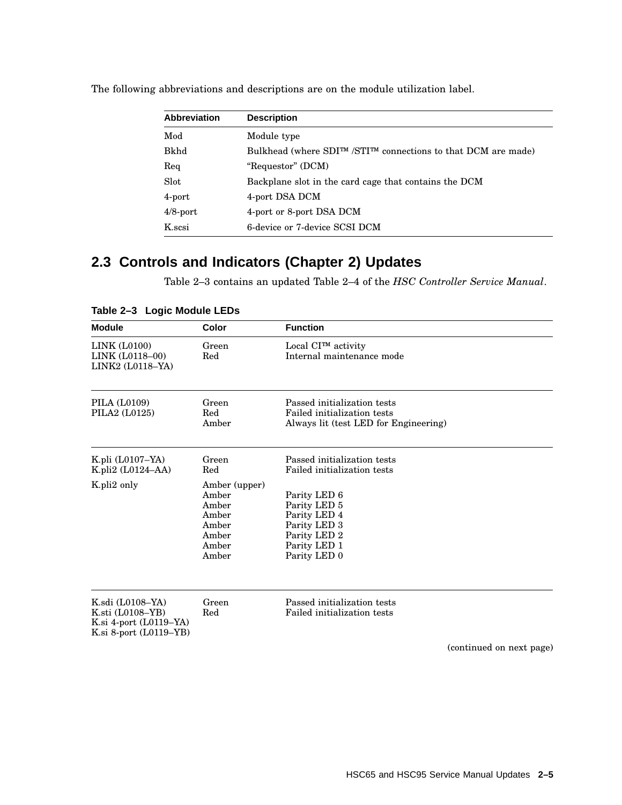| <b>Abbreviation</b> | <b>Description</b>                                                    |
|---------------------|-----------------------------------------------------------------------|
| Mod                 | Module type                                                           |
| Bkhd                | Bulkhead (where $SDI^{TM}/STI^{TM}$ connections to that DCM are made) |
| Req                 | "Requestor" (DCM)                                                     |
| Slot                | Backplane slot in the card cage that contains the DCM                 |
| 4-port              | 4-port DSA DCM                                                        |
| $4/8$ -port         | 4-port or 8-port DSA DCM                                              |
| K.scsi              | 6-device or 7-device SCSI DCM                                         |

The following abbreviations and descriptions are on the module utilization label.

# **2.3 Controls and Indicators (Chapter 2) Updates**

Table 2–3 contains an updated Table 2–4 of the *HSC Controller Service Manual*.

| <b>Module</b>                                                                                       | Color                                                                        | <b>Function</b>                                                                                              |
|-----------------------------------------------------------------------------------------------------|------------------------------------------------------------------------------|--------------------------------------------------------------------------------------------------------------|
| LINK (L0100)<br>LINK (L0118-00)<br>LINK2 (L0118-YA)                                                 | Green<br>Red                                                                 | Local CI™ activity<br>Internal maintenance mode                                                              |
| PILA (L0109)<br>PILA2 (L0125)                                                                       | Green<br>Red<br>Amber                                                        | Passed initialization tests<br>Failed initialization tests<br>Always lit (test LED for Engineering)          |
| K.pli $(L0107-YA)$<br>K.pli2 $(L0124-AA)$                                                           | Green<br>Red                                                                 | Passed initialization tests<br>Failed initialization tests                                                   |
| K.pli2 only                                                                                         | Amber (upper)<br>Amber<br>Amber<br>Amber<br>Amber<br>Amber<br>Amber<br>Amber | Parity LED 6<br>Parity LED 5<br>Parity LED 4<br>Parity LED 3<br>Parity LED 2<br>Parity LED 1<br>Parity LED 0 |
| K.sdi (L0108-YA)<br>K.sti $(L0108 - YB)$<br>K.si $4$ -port $(L0119-YA)$<br>K.si 8-port $(L0119-YB)$ | Green<br>Red                                                                 | Passed initialization tests<br>Failed initialization tests<br>(continued on next page)                       |

**Table 2–3 Logic Module LEDs**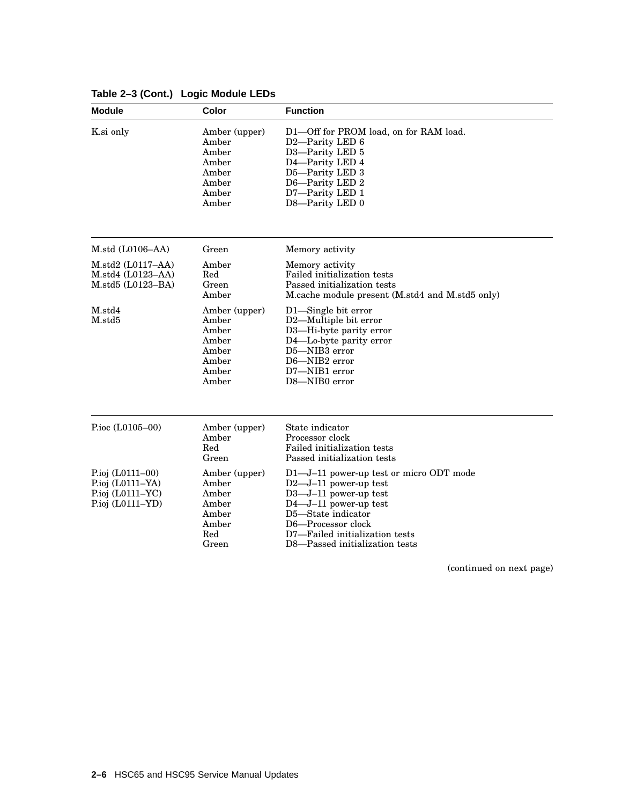| <b>Module</b>                                                                      | Color                                                                        | <b>Function</b>                                                                                                                                                                                                                                   |
|------------------------------------------------------------------------------------|------------------------------------------------------------------------------|---------------------------------------------------------------------------------------------------------------------------------------------------------------------------------------------------------------------------------------------------|
| K.si only                                                                          | Amber (upper)<br>Amber<br>Amber<br>Amber<br>Amber<br>Amber<br>Amber<br>Amber | D1-Off for PROM load, on for RAM load.<br>D2-Parity LED 6<br>D3-Parity LED 5<br>D4-Parity LED 4<br>D5-Parity LED 3<br>D6-Parity LED 2<br>D7-Parity LED 1<br>D8-Parity LED 0                                                                       |
| M. std (L0106–AA)                                                                  | Green                                                                        | Memory activity                                                                                                                                                                                                                                   |
| M. std2 (L0117–AA)<br>M. std4 (L0123–AA)<br>$M. std5 (L0123-BA)$                   | Amber<br>Red<br>Green<br>Amber                                               | Memory activity<br>Failed initialization tests<br>Passed initialization tests<br>M.cache module present (M.std4 and M.std5 only)                                                                                                                  |
| M.std4<br>$M$ .std $5$                                                             | Amber (upper)<br>Amber<br>Amber<br>Amber<br>Amber<br>Amber<br>Amber<br>Amber | D1-Single bit error<br>D2-Multiple bit error<br>D3-Hi-byte parity error<br>D4-Lo-byte parity error<br>D5-NIB3 error<br>D6-NIB2 error<br>D7-NIB1 error<br>D8-NIB0 error                                                                            |
| P.ioc (L0105-00)                                                                   | Amber (upper)<br>Amber<br>Red<br>Green                                       | State indicator<br>Processor clock<br>Failed initialization tests<br>Passed initialization tests                                                                                                                                                  |
| P.ioj $(L0111-00)$<br>P.ioj (L0111-YA)<br>P.ioj (L0111-YC)<br>P.ioj $(L0111 - YD)$ | Amber (upper)<br>Amber<br>Amber<br>Amber<br>Amber<br>Amber<br>Red<br>Green   | D1-J-11 power-up test or micro ODT mode<br>$D2$ —J-11 power-up test<br>$D3 - J - 11$ power-up test<br>$D4 - J - 11$ power-up test<br>D5-State indicator<br>D6-Processor clock<br>D7-Failed initialization tests<br>D8—Passed initialization tests |

# **Table 2–3 (Cont.) Logic Module LEDs**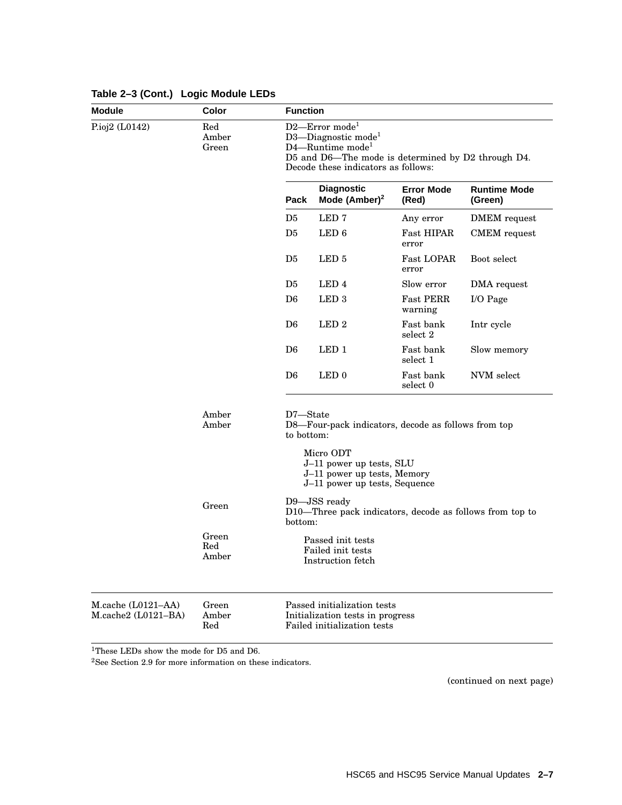| <b>Module</b><br>Color<br><b>Function</b>         |                       |                                                                                                                                                                                               |                                                                                                                                                              |                             |                                |  |  |
|---------------------------------------------------|-----------------------|-----------------------------------------------------------------------------------------------------------------------------------------------------------------------------------------------|--------------------------------------------------------------------------------------------------------------------------------------------------------------|-----------------------------|--------------------------------|--|--|
| P.ioj2 (L0142)                                    | Red<br>Amber<br>Green | D2-Error mode <sup>1</sup><br>D3-Diagnostic mode <sup>1</sup><br>$D4$ —Runtime mode <sup>1</sup><br>D5 and D6—The mode is determined by D2 through D4.<br>Decode these indicators as follows: |                                                                                                                                                              |                             |                                |  |  |
|                                                   |                       | Pack                                                                                                                                                                                          | <b>Diagnostic</b><br>Mode $(Amber)^2$                                                                                                                        | <b>Error Mode</b><br>(Red)  | <b>Runtime Mode</b><br>(Green) |  |  |
|                                                   |                       | D <sub>5</sub>                                                                                                                                                                                | LED <sub>7</sub>                                                                                                                                             | Any error                   | DMEM request                   |  |  |
|                                                   |                       | D5                                                                                                                                                                                            | LED <sub>6</sub>                                                                                                                                             | <b>Fast HIPAR</b><br>error  | <b>CMEM</b> request            |  |  |
|                                                   |                       | D <sub>5</sub>                                                                                                                                                                                | LED <sub>5</sub>                                                                                                                                             | Fast LOPAR<br>error         | Boot select                    |  |  |
|                                                   |                       | D <sub>5</sub>                                                                                                                                                                                | LED <sub>4</sub>                                                                                                                                             | Slow error                  | DMA request                    |  |  |
|                                                   |                       | D <sub>6</sub>                                                                                                                                                                                | LED <sub>3</sub>                                                                                                                                             | <b>Fast PERR</b><br>warning | $I/O$ Page                     |  |  |
|                                                   |                       | D <sub>6</sub>                                                                                                                                                                                | LED <sub>2</sub>                                                                                                                                             | Fast bank<br>select 2       | Intr cycle                     |  |  |
|                                                   |                       | D <sub>6</sub>                                                                                                                                                                                | LED <sub>1</sub>                                                                                                                                             | Fast bank<br>select 1       | Slow memory                    |  |  |
|                                                   |                       | D <sub>6</sub>                                                                                                                                                                                | LED <sub>0</sub>                                                                                                                                             | Fast bank<br>select 0       | NVM select                     |  |  |
|                                                   | Amber<br>Amber        | D7-State<br>to bottom:                                                                                                                                                                        | D8-Four-pack indicators, decode as follows from top<br>Micro ODT<br>J-11 power up tests, SLU<br>J-11 power up tests, Memory<br>J-11 power up tests, Sequence |                             |                                |  |  |
|                                                   | Green                 | D9-JSS ready<br>D10—Three pack indicators, decode as follows from top to<br>bottom:                                                                                                           |                                                                                                                                                              |                             |                                |  |  |
|                                                   | Green<br>Red<br>Amber |                                                                                                                                                                                               | Passed init tests<br>Failed init tests<br>Instruction fetch                                                                                                  |                             |                                |  |  |
| $M$ .cache $(L0121–AA)$<br>$M, cache2 (L0121-BA)$ | Green<br>Amber<br>Red |                                                                                                                                                                                               | Passed initialization tests<br>Initialization tests in progress<br>Failed initialization tests                                                               |                             |                                |  |  |

# **Table 2–3 (Cont.) Logic Module LEDs**

 $^1\mathrm{These}$  LEDs show the mode for D5 and D6.

 $^2\mathrm{See}$  Section 2.9 for more information on these indicators.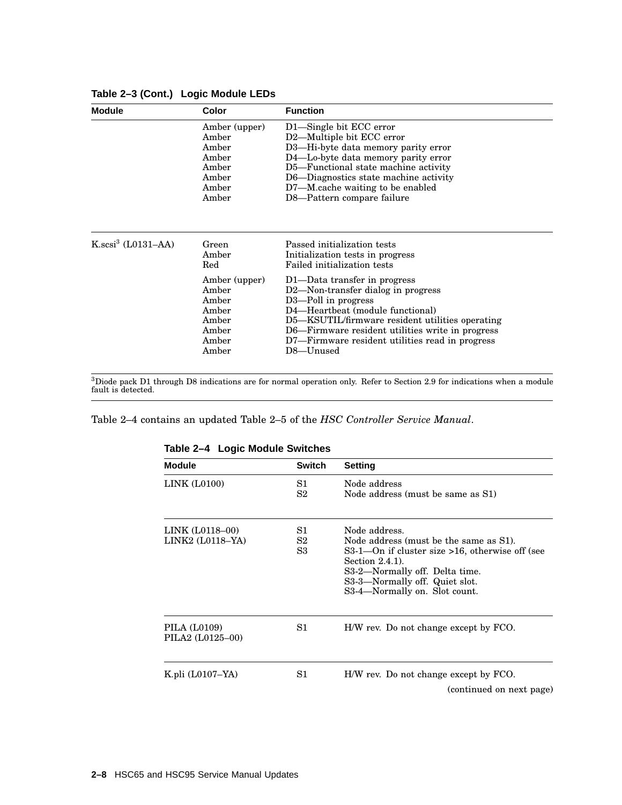| Module               | Color                                                                                                          | <b>Function</b>                                                                                                                                                                                                                                                                                                                                                                                            |
|----------------------|----------------------------------------------------------------------------------------------------------------|------------------------------------------------------------------------------------------------------------------------------------------------------------------------------------------------------------------------------------------------------------------------------------------------------------------------------------------------------------------------------------------------------------|
|                      | Amber (upper)<br>Amber<br>Amber<br>Amber<br>Amber<br>Amber<br>Amber<br>Amber                                   | D1—Single bit ECC error<br>D2-Multiple bit ECC error<br>D3—Hi-byte data memory parity error<br>D4-Lo-byte data memory parity error<br>D5-Functional state machine activity<br>D6—Diagnostics state machine activity<br>D7—M.cache waiting to be enabled<br>D8—Pattern compare failure                                                                                                                      |
| $K.scsi3$ (L0131–AA) | Green<br>Amber<br>$_{\rm Red}$<br>Amber (upper)<br>Amber<br>Amber<br>Amber<br>Amber<br>Amber<br>Amber<br>Amber | Passed initialization tests<br>Initialization tests in progress<br>Failed initialization tests<br>D1—Data transfer in progress<br>D2-Non-transfer dialog in progress<br>D3-Poll in progress<br>D4—Heartbeat (module functional)<br>D5—KSUTIL/firmware resident utilities operating<br>D6—Firmware resident utilities write in progress<br>D7—Firmware resident utilities read in progress<br>$D8 -$ Unused |

#### **Table 2–3 (Cont.) Logic Module LEDs**

 $^3$ Diode pack D1 through D8 indications are for normal operation only. Refer to Section 2.9 for indications when a module<br>fault is detected.

Table 2–4 contains an updated Table 2–5 of the *HSC Controller Service Manual*.

| <b>Module</b>                       | <b>Switch</b>  | <b>Setting</b>                                                                                                                                                                                                                        |  |
|-------------------------------------|----------------|---------------------------------------------------------------------------------------------------------------------------------------------------------------------------------------------------------------------------------------|--|
| LINK (L0100)                        | S1<br>S2       | Node address<br>Node address (must be same as S1)                                                                                                                                                                                     |  |
| LINK (L0118-00)<br>LINK2 (L0118–YA) | S1<br>S2<br>S3 | Node address.<br>Node address (must be the same as S1).<br>S3-1—On if cluster size >16, otherwise off (see<br>Section $2.4.1$ ).<br>S3-2—Normally off. Delta time.<br>S3-3—Normally off. Quiet slot.<br>S3-4—Normally on. Slot count. |  |
| PILA (L0109)<br>PILA2 (L0125-00)    | S1             | H/W rev. Do not change except by FCO.                                                                                                                                                                                                 |  |
| K.pli $(L0107-YA)$                  | S1             | H/W rev. Do not change except by FCO.<br>(continued on next page)                                                                                                                                                                     |  |

#### **Table 2–4 Logic Module Switches**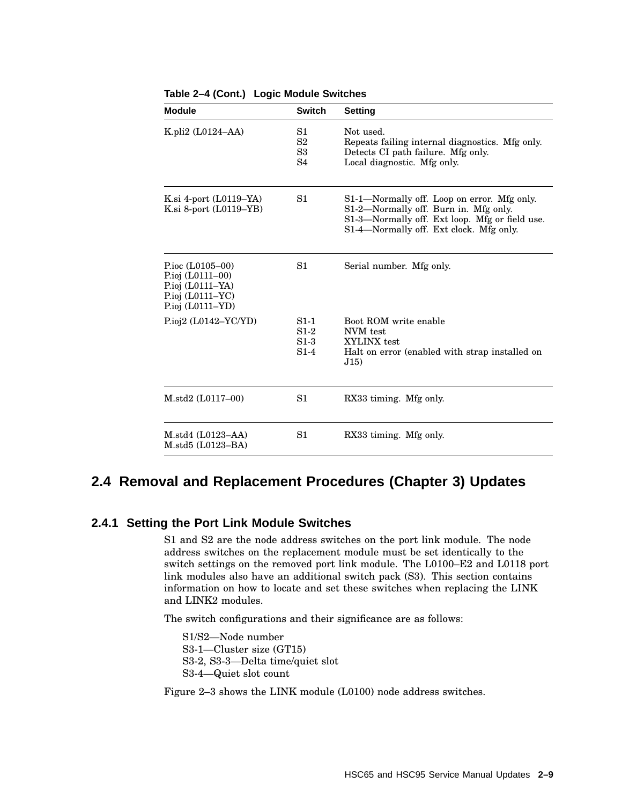| <b>Module</b>                                                                                                | <b>Switch</b>                        | <b>Setting</b>                                                                                                                                                                    |
|--------------------------------------------------------------------------------------------------------------|--------------------------------------|-----------------------------------------------------------------------------------------------------------------------------------------------------------------------------------|
| K.pli2 $(L0124–AA)$                                                                                          | S1<br>S <sub>2</sub><br>S3<br>S4     | Not used.<br>Repeats failing internal diagnostics. Mfg only.<br>Detects CI path failure. Mfg only.<br>Local diagnostic. Mfg only.                                                 |
| K.si 4-port $(L0119-YA)$<br>K.si 8-port $(L0119-YB)$                                                         | S1                                   | S1-1-Normally off. Loop on error. Mfg only.<br>S1-2—Normally off. Burn in. Mfg only.<br>S1-3-Normally off. Ext loop. Mfg or field use.<br>S1-4—Normally off. Ext clock. Mfg only. |
| P.ioc $(L0105-00)$<br>P.ioj $(L0111-00)$<br>P.ioj $(L0111-YA)$<br>P.ioj $(L0111-YC)$<br>P.ioj $(L0111 - YD)$ | S1                                   | Serial number. Mfg only.                                                                                                                                                          |
| Pioi2 (L0142–YC/YD)                                                                                          | $S1-1$<br>$S1-2$<br>$S1-3$<br>$S1-4$ | Boot ROM write enable<br>NVM test<br>XYLINX test<br>Halt on error (enabled with strap installed on<br>J(15)                                                                       |
| $M. std2 (L0117-00)$                                                                                         | S1                                   | RX33 timing. Mfg only.                                                                                                                                                            |
| M. std4 (L0123–AA)<br>$M. std5 (L0123-BA)$                                                                   | S1                                   | RX33 timing. Mfg only.                                                                                                                                                            |

**Table 2–4 (Cont.) Logic Module Switches**

# **2.4 Removal and Replacement Procedures (Chapter 3) Updates**

#### **2.4.1 Setting the Port Link Module Switches**

S1 and S2 are the node address switches on the port link module. The node address switches on the replacement module must be set identically to the switch settings on the removed port link module. The L0100–E2 and L0118 port link modules also have an additional switch pack (S3). This section contains information on how to locate and set these switches when replacing the LINK and LINK2 modules.

The switch configurations and their significance are as follows:

S1/S2—Node number S3-1—Cluster size (GT15) S3-2, S3-3—Delta time/quiet slot S3-4—Quiet slot count

Figure 2–3 shows the LINK module (L0100) node address switches.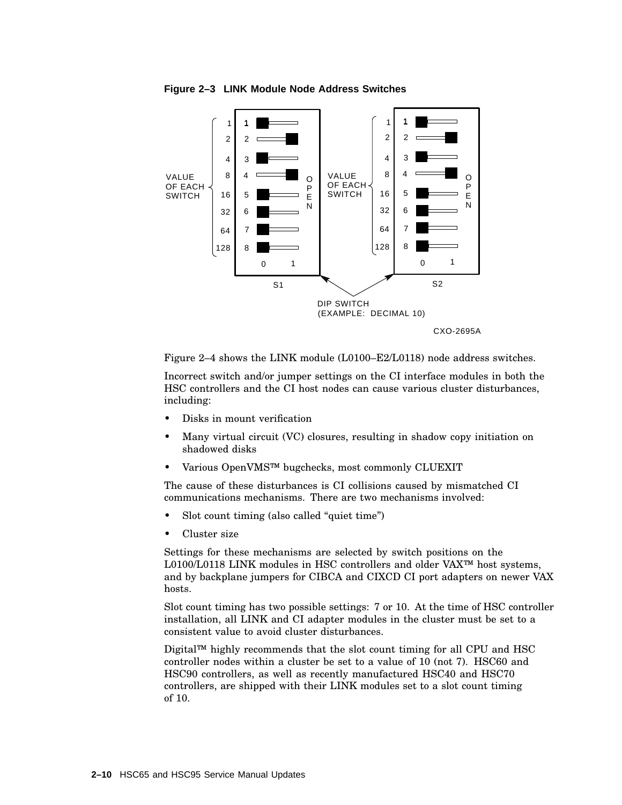

**Figure 2–3 LINK Module Node Address Switches**

Figure 2–4 shows the LINK module (L0100–E2/L0118) node address switches.

Incorrect switch and/or jumper settings on the CI interface modules in both the HSC controllers and the CI host nodes can cause various cluster disturbances, including:

- Disks in mount verification
- Many virtual circuit (VC) closures, resulting in shadow copy initiation on shadowed disks
- Various OpenVMS™ bugchecks, most commonly CLUEXIT

The cause of these disturbances is CI collisions caused by mismatched CI communications mechanisms. There are two mechanisms involved:

- Slot count timing (also called "quiet time")
- Cluster size

Settings for these mechanisms are selected by switch positions on the L0100/L0118 LINK modules in HSC controllers and older VAX™ host systems, and by backplane jumpers for CIBCA and CIXCD CI port adapters on newer VAX hosts.

Slot count timing has two possible settings: 7 or 10. At the time of HSC controller installation, all LINK and CI adapter modules in the cluster must be set to a consistent value to avoid cluster disturbances.

Digital™ highly recommends that the slot count timing for all CPU and HSC controller nodes within a cluster be set to a value of 10 (not 7). HSC60 and HSC90 controllers, as well as recently manufactured HSC40 and HSC70 controllers, are shipped with their LINK modules set to a slot count timing of 10.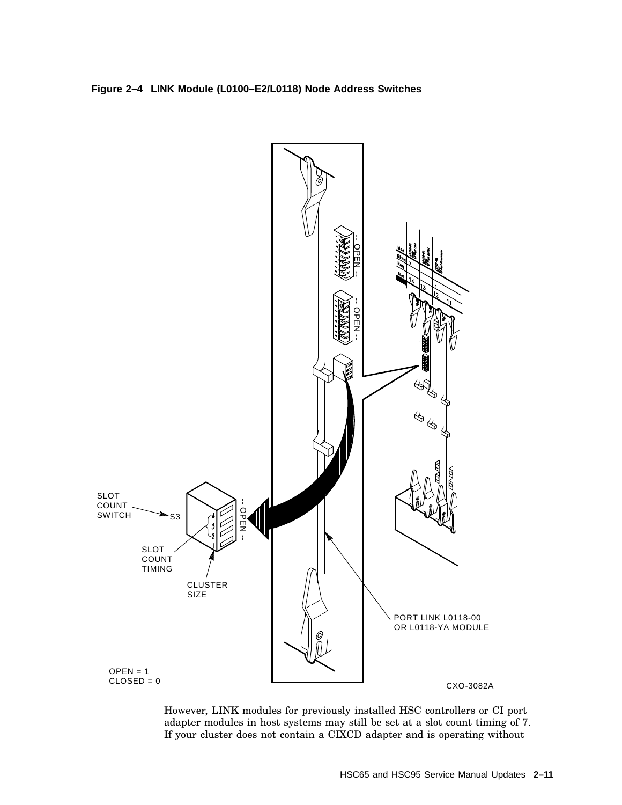



However, LINK modules for previously installed HSC controllers or CI port adapter modules in host systems may still be set at a slot count timing of 7. If your cluster does not contain a CIXCD adapter and is operating without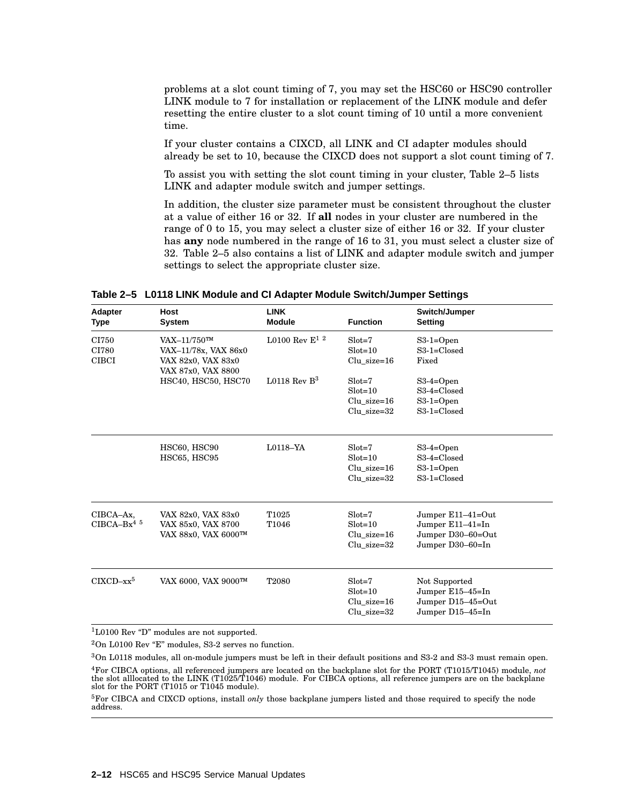problems at a slot count timing of 7, you may set the HSC60 or HSC90 controller LINK module to 7 for installation or replacement of the LINK module and defer resetting the entire cluster to a slot count timing of 10 until a more convenient time.

If your cluster contains a CIXCD, all LINK and CI adapter modules should already be set to 10, because the CIXCD does not support a slot count timing of 7.

To assist you with setting the slot count timing in your cluster, Table 2–5 lists LINK and adapter module switch and jumper settings.

In addition, the cluster size parameter must be consistent throughout the cluster at a value of either 16 or 32. If **all** nodes in your cluster are numbered in the range of 0 to 15, you may select a cluster size of either 16 or 32. If your cluster has **any** node numbered in the range of 16 to 31, you must select a cluster size of 32. Table 2–5 also contains a list of LINK and adapter module switch and jumper settings to select the appropriate cluster size.

| Adapter<br>Type                       | <b>Host</b><br>System                                                               | <b>LINK</b><br><b>Module</b> | <b>Function</b>                                            | Switch/Jumper<br><b>Setting</b>                                                |
|---------------------------------------|-------------------------------------------------------------------------------------|------------------------------|------------------------------------------------------------|--------------------------------------------------------------------------------|
| CI750<br>CI780<br><b>CIBCI</b>        | $VAX-11/750$ TM<br>VAX-11/78x, VAX 86x0<br>VAX 82x0, VAX 83x0<br>VAX 87x0, VAX 8800 | L0100 Rev $E^1$ <sup>2</sup> | $Slot = 7$<br>$Slot = 10$<br>$Clu$ _size=16                | $S3-1=Open$<br>$S3-1=Closed$<br>Fixed                                          |
|                                       | HSC40, HSC50, HSC70                                                                 | L0118 Rev $B^3$              | $Slot = 7$<br>$Slot = 10$<br>$Clu$ size=16<br>Clu size=32  | $S3-4=Open$<br>$S3-4=Closed$<br>$S3-1=Open$<br>S3-1=Closed                     |
|                                       | HSC60, HSC90<br>HSC65, HSC95                                                        | $L0118 - YA$                 | $Slot = 7$<br>$Slot = 10$<br>$Clu$ size=16<br>Clu size=32  | $S3-4=Open$<br>$S3-4=Closed$<br>$S3-1=Open$<br>$S3-1=Closed$                   |
| CIBCA-Ax,<br>$CIBCA-Bx4$ <sup>5</sup> | VAX 82x0, VAX 83x0<br>VAX 85x0, VAX 8700<br>VAX 88x0, VAX 6000™                     | T <sub>1025</sub><br>T1046   | $Slot = 7$<br>$Slot = 10$<br>$Clu$ size=16<br>Clu size=32  | Jumper E11-41=Out<br>Jumper E11-41=In<br>Jumper D30-60=Out<br>Jumper D30-60=In |
| $CIXCD-xx^5$                          | VAX 6000, VAX 9000™                                                                 | T2080                        | $Slot = 7$<br>$Slot = 10$<br>$Clu$ _size=16<br>Clu size=32 | Not Supported<br>Jumper $E15-45=In$<br>Jumper D15-45=Out<br>Jumper D15-45=In   |

**Table 2–5 L0118 LINK Module and CI Adapter Module Switch/Jumper Settings**

 $1$ L0100 Rev "D" modules are not supported.

 $2$ On L0100 Rev "E" modules, S3-2 serves no function.

 $3$ On L0118 modules, all on-module jumpers must be left in their default positions and S3-2 and S3-3 must remain open.

<sup>4</sup>For CIBCA options, all referenced jumpers are located on the backplane slot for the PORT (T1015/T1045) module, *not* the slot alllocated to the LINK (T1025/T1046) module. For CIBCA options, all reference jumpers are on the backplane slot for the PORT (T1015 or T1045 module).

<sup>5</sup>For CIBCA and CIXCD options, install *only* those backplane jumpers listed and those required to specify the node address.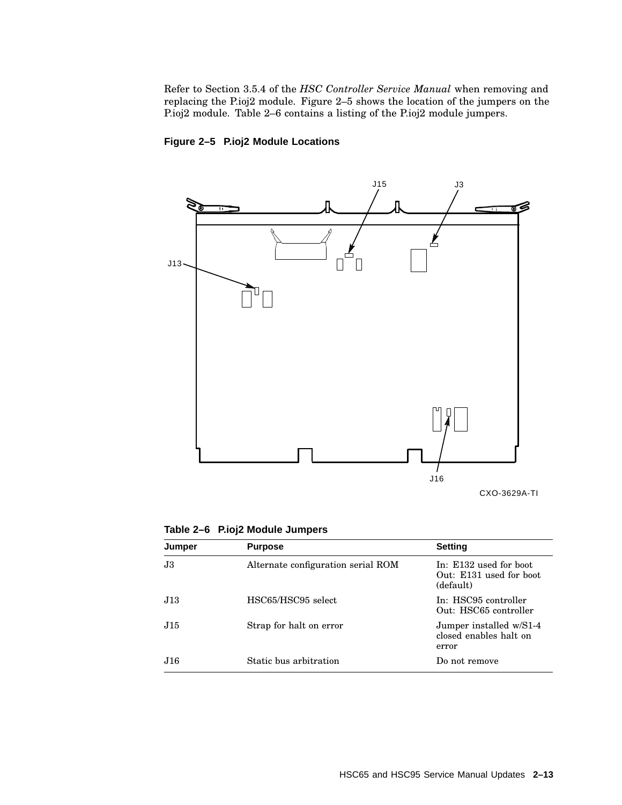Refer to Section 3.5.4 of the *HSC Controller Service Manual* when removing and replacing the P.ioj2 module. Figure 2–5 shows the location of the jumpers on the P.ioj2 module. Table 2–6 contains a listing of the P.ioj2 module jumpers.



## **Figure 2–5 P.ioj2 Module Locations**

CXO-3629A-TI

| Table 2-6 P.ioj2 Module Jumpers |  |  |
|---------------------------------|--|--|
|---------------------------------|--|--|

| Jumper | <b>Purpose</b>                     | <b>Setting</b>                                                 |
|--------|------------------------------------|----------------------------------------------------------------|
| J3     | Alternate configuration serial ROM | In: E132 used for boot<br>Out: E131 used for boot<br>(default) |
| J13    | HSC65/HSC95 select                 | In: HSC95 controller<br>Out: HSC65 controller                  |
| J15    | Strap for halt on error            | Jumper installed w/S1-4<br>closed enables halt on<br>error     |
| J16.   | Static bus arbitration             | Do not remove                                                  |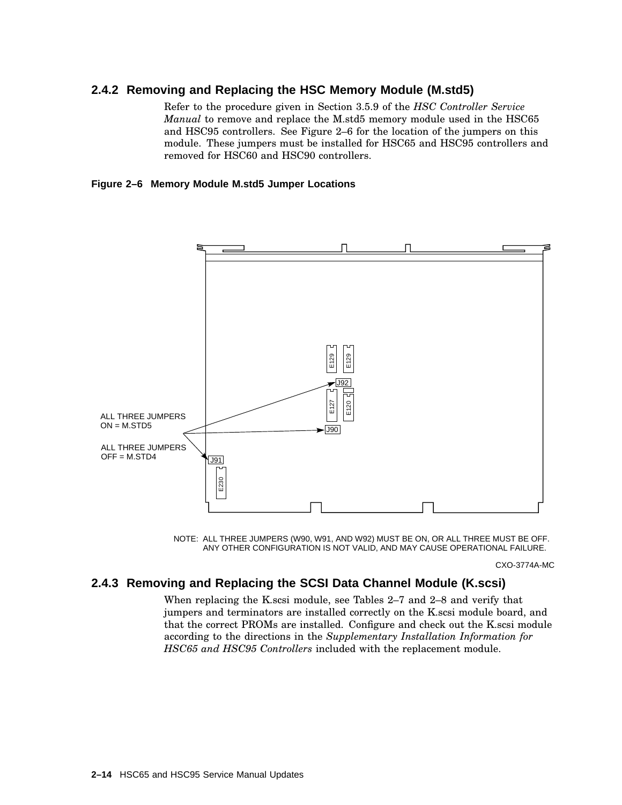## **2.4.2 Removing and Replacing the HSC Memory Module (M.std5)**

Refer to the procedure given in Section 3.5.9 of the *HSC Controller Service Manual* to remove and replace the M.std5 memory module used in the HSC65 and HSC95 controllers. See Figure 2–6 for the location of the jumpers on this module. These jumpers must be installed for HSC65 and HSC95 controllers and removed for HSC60 and HSC90 controllers.

#### **Figure 2–6 Memory Module M.std5 Jumper Locations**





CXO-3774A-MC

## **2.4.3 Removing and Replacing the SCSI Data Channel Module (K.scsi)**

When replacing the K.scsi module, see Tables 2–7 and 2–8 and verify that jumpers and terminators are installed correctly on the K.scsi module board, and that the correct PROMs are installed. Configure and check out the K.scsi module according to the directions in the *Supplementary Installation Information for HSC65 and HSC95 Controllers* included with the replacement module.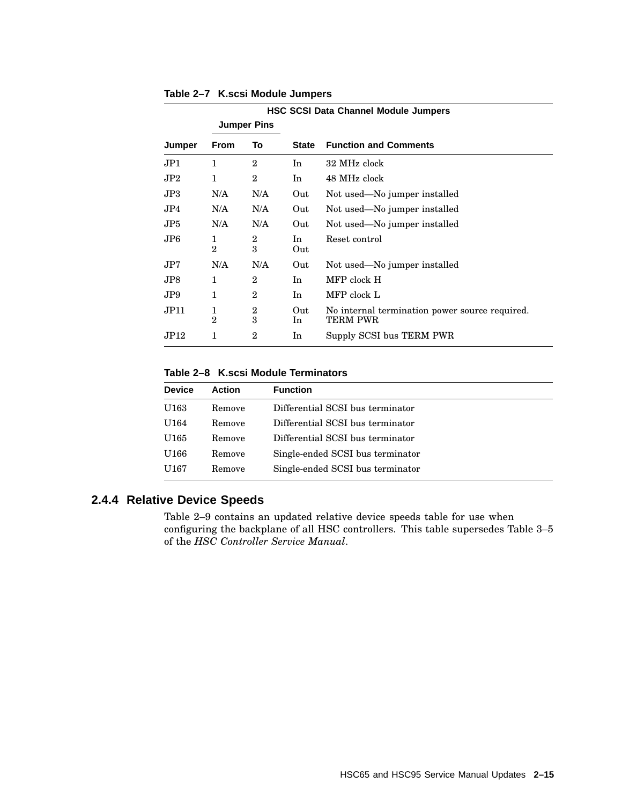|                | <b>HSC SCSI Data Channel Module Jumpers</b> |                     |            |                                                                   |
|----------------|---------------------------------------------|---------------------|------------|-------------------------------------------------------------------|
|                |                                             | <b>Jumper Pins</b>  |            |                                                                   |
| Jumper         | <b>From</b>                                 | To                  | State      | <b>Function and Comments</b>                                      |
| JP1.           | 1                                           | $\overline{2}$      | In         | 32 MHz clock                                                      |
| JP2            | $\mathbf{1}$                                | $\overline{2}$      | In         | 48 MHz clock                                                      |
| JP3            | N/A                                         | N/A                 | Out        | Not used—No jumper installed                                      |
| JP4            | N/A                                         | N/A                 | Out        | Not used—No jumper installed                                      |
| JP5.           | N/A                                         | N/A                 | Out        | Not used—No jumper installed                                      |
| $J\mathrm{P}6$ | 1<br>$\overline{2}$                         | $\overline{2}$<br>3 | In<br>Out  | Reset control                                                     |
| JP7.           | N/A                                         | N/A                 | Out        | Not used—No jumper installed                                      |
| JP8.           | 1                                           | $\overline{2}$      | In.        | MFP clock H                                                       |
| JP9.           | 1                                           | $\mathbf{2}$        | In.        | MFP clock L                                                       |
| JPI1           | 1<br>$\overline{2}$                         | $\overline{2}$<br>3 | Out<br>In. | No internal termination power source required.<br><b>TERM PWR</b> |
| JPI2           | 1                                           | $\overline{2}$      | In         | Supply SCSI bus TERM PWR                                          |

**Table 2–7 K.scsi Module Jumpers**

#### **Table 2–8 K.scsi Module Terminators**

| <b>Device</b>    | <b>Action</b> | <b>Function</b>                  |
|------------------|---------------|----------------------------------|
| U163             | Remove        | Differential SCSI bus terminator |
| U164             | Remove        | Differential SCSI bus terminator |
| U <sub>165</sub> | Remove        | Differential SCSI bus terminator |
| U166             | Remove        | Single-ended SCSI bus terminator |
| U167             | Remove        | Single-ended SCSI bus terminator |

# **2.4.4 Relative Device Speeds**

Table 2–9 contains an updated relative device speeds table for use when configuring the backplane of all HSC controllers. This table supersedes Table 3–5 of the *HSC Controller Service Manual*.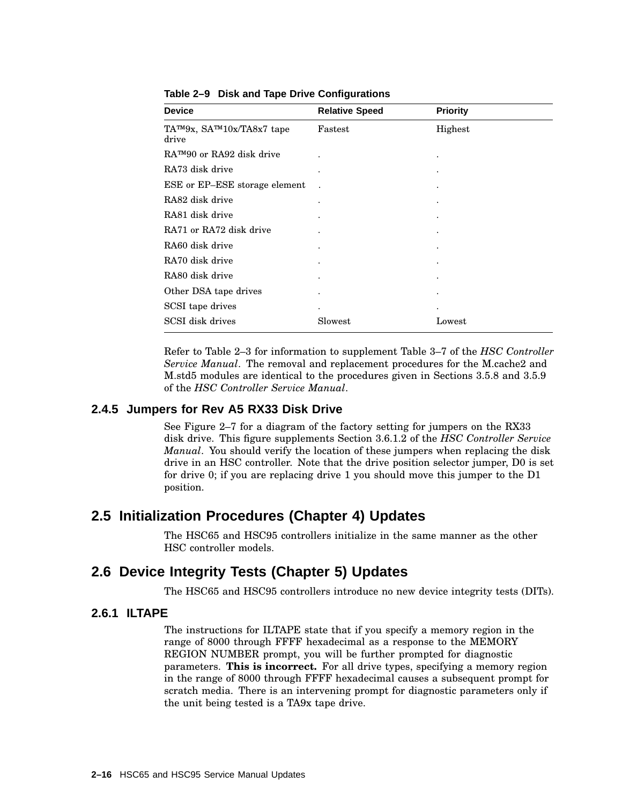| <b>Device</b>                                | <b>Relative Speed</b> | <b>Priority</b> |
|----------------------------------------------|-----------------------|-----------------|
| TA™9x, SA™10x/TA8x7 tape<br>drive            | Fastest               | Highest         |
| $R\Lambda^{TM}90$ or $R\Lambda92$ disk drive |                       | ٠               |
| RA73 disk drive                              | $\bullet$             |                 |
| ESE or EP-ESE storage element                |                       |                 |
| RA82 disk drive                              |                       |                 |
| RA81 disk drive                              |                       |                 |
| RA71 or RA72 disk drive                      |                       |                 |
| RA60 disk drive                              |                       |                 |
| RA70 disk drive                              | ٠                     |                 |
| RA80 disk drive                              |                       |                 |
| Other DSA tape drives                        |                       |                 |
| SCSI tape drives                             | $\bullet$             |                 |
| SCSI disk drives                             | Slowest               | Lowest          |

**Table 2–9 Disk and Tape Drive Configurations**

Refer to Table 2–3 for information to supplement Table 3–7 of the *HSC Controller Service Manual*. The removal and replacement procedures for the M.cache2 and M.std5 modules are identical to the procedures given in Sections 3.5.8 and 3.5.9 of the *HSC Controller Service Manual*.

#### **2.4.5 Jumpers for Rev A5 RX33 Disk Drive**

See Figure 2–7 for a diagram of the factory setting for jumpers on the RX33 disk drive. This figure supplements Section 3.6.1.2 of the *HSC Controller Service Manual*. You should verify the location of these jumpers when replacing the disk drive in an HSC controller. Note that the drive position selector jumper, D0 is set for drive 0; if you are replacing drive 1 you should move this jumper to the D1 position.

# **2.5 Initialization Procedures (Chapter 4) Updates**

The HSC65 and HSC95 controllers initialize in the same manner as the other HSC controller models.

# **2.6 Device Integrity Tests (Chapter 5) Updates**

The HSC65 and HSC95 controllers introduce no new device integrity tests (DITs).

#### **2.6.1 ILTAPE**

The instructions for ILTAPE state that if you specify a memory region in the range of 8000 through FFFF hexadecimal as a response to the MEMORY REGION NUMBER prompt, you will be further prompted for diagnostic parameters. **This is incorrect.** For all drive types, specifying a memory region in the range of 8000 through FFFF hexadecimal causes a subsequent prompt for scratch media. There is an intervening prompt for diagnostic parameters only if the unit being tested is a TA9x tape drive.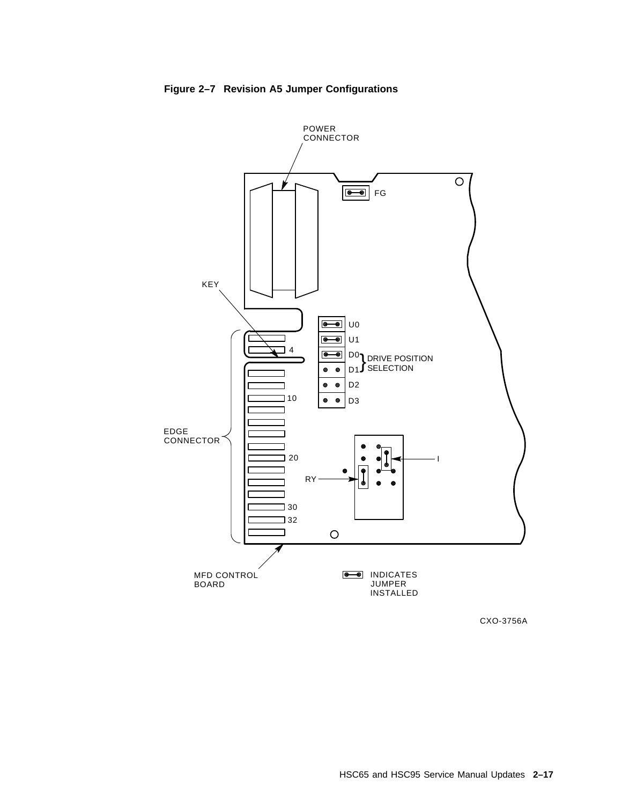

**Figure 2–7 Revision A5 Jumper Configurations**

CXO-3756A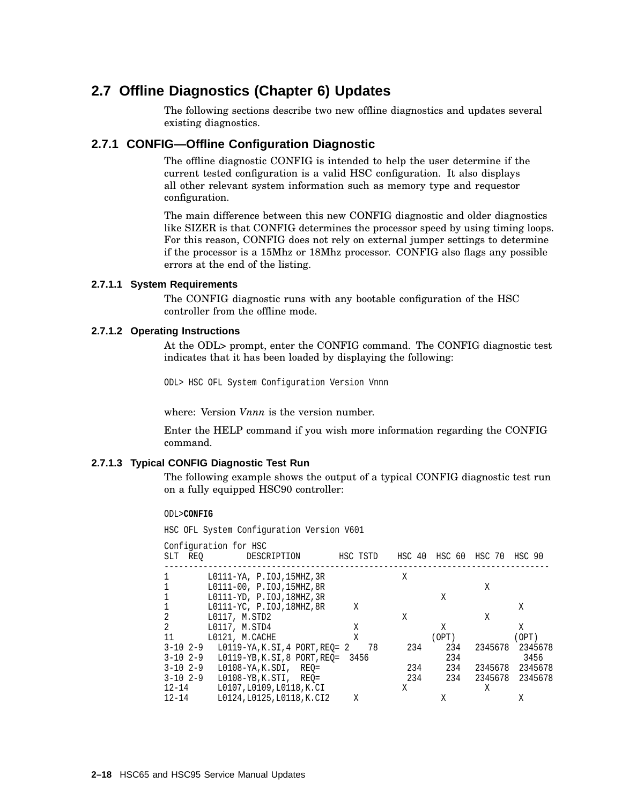# **2.7 Offline Diagnostics (Chapter 6) Updates**

The following sections describe two new offline diagnostics and updates several existing diagnostics.

#### **2.7.1 CONFIG—Offline Configuration Diagnostic**

The offline diagnostic CONFIG is intended to help the user determine if the current tested configuration is a valid HSC configuration. It also displays all other relevant system information such as memory type and requestor configuration.

The main difference between this new CONFIG diagnostic and older diagnostics like SIZER is that CONFIG determines the processor speed by using timing loops. For this reason, CONFIG does not rely on external jumper settings to determine if the processor is a 15Mhz or 18Mhz processor. CONFIG also flags any possible errors at the end of the listing.

#### **2.7.1.1 System Requirements**

The CONFIG diagnostic runs with any bootable configuration of the HSC controller from the offline mode.

#### **2.7.1.2 Operating Instructions**

At the ODL> prompt, enter the CONFIG command. The CONFIG diagnostic test indicates that it has been loaded by displaying the following:

ODL> HSC OFL System Configuration Version Vnnn

where: Version *Vnnn* is the version number.

Enter the HELP command if you wish more information regarding the CONFIG command.

#### **2.7.1.3 Typical CONFIG Diagnostic Test Run**

The following example shows the output of a typical CONFIG diagnostic test run on a fully equipped HSC90 controller:

#### ODL>**CONFIG**

HSC OFL System Configuration Version V601

| REO<br>SLT    | Configuration for HSC<br>DESCRIPTION | HSC TSTD | HSC 40 | HSC 60 HSC 70 |         | HSC 90  |
|---------------|--------------------------------------|----------|--------|---------------|---------|---------|
| 1             | L0111-YA, P.IOJ,15MHZ,3R             |          | Χ      |               |         |         |
| 1             | L0111-00, P.IOJ, 15MHZ, 8R           |          |        |               | Χ       |         |
| 1             | L0111-YD, P.IOJ, 18MHZ, 3R           |          |        | X             |         |         |
| 1             | L0111-YC, P.IOJ, 18MHZ, 8R           | X        |        |               |         | Χ       |
| 2             | L0117, M.STD2                        |          | Χ      |               | Χ       |         |
| 2             | L0117, M.STD4                        | Χ        |        | Χ             |         | Χ       |
| 11            | L0121, M.CACHE                       | Χ        |        | OPT)          |         | (OPT)   |
| $3 - 10$ 2-9  | L0119-YA, K.SI, 4 PORT, REO= 2       | 78       | 234    | 234           | 2345678 | 2345678 |
| $3 - 10$ 2-9  | L0119-YB, K.SI, 8 PORT, REO= 3456    |          |        | 234           |         | 3456    |
| $3 - 102 - 9$ | L0108-YA,K.SDI,<br>REO=              |          | 234    | 234           | 2345678 | 2345678 |
| $3 - 10$ 2-9  | $L0108 - YB$ , K.STI, REO=           |          | 234    | 234           | 2345678 | 2345678 |
| $12 - 14$     | L0107, L0109, L0118, K.CI            |          | Χ      |               | Χ       |         |
| $12 - 14$     | L0124, L0125, L0118, K.CI2           | X        |        | X             |         | Χ       |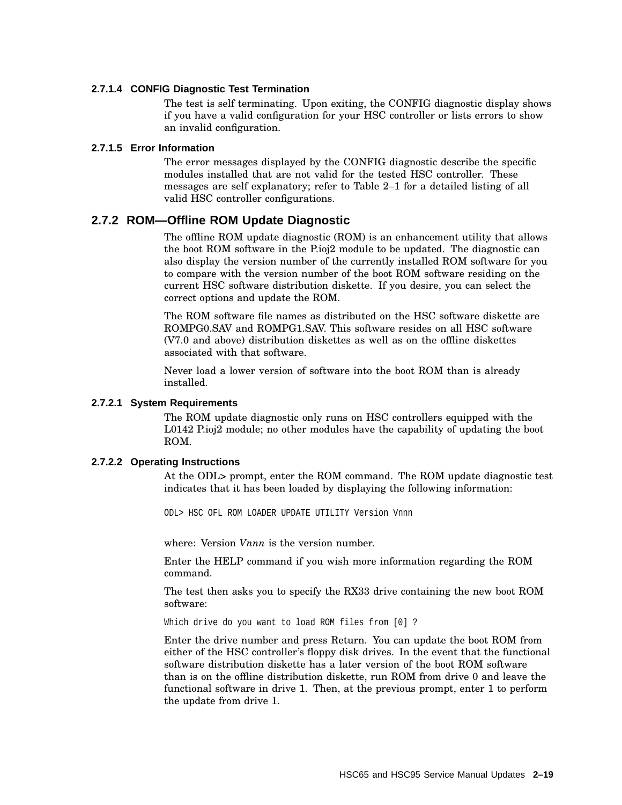#### **2.7.1.4 CONFIG Diagnostic Test Termination**

The test is self terminating. Upon exiting, the CONFIG diagnostic display shows if you have a valid configuration for your HSC controller or lists errors to show an invalid configuration.

#### **2.7.1.5 Error Information**

The error messages displayed by the CONFIG diagnostic describe the specific modules installed that are not valid for the tested HSC controller. These messages are self explanatory; refer to Table 2–1 for a detailed listing of all valid HSC controller configurations.

#### **2.7.2 ROM—Offline ROM Update Diagnostic**

The offline ROM update diagnostic (ROM) is an enhancement utility that allows the boot ROM software in the P.ioj2 module to be updated. The diagnostic can also display the version number of the currently installed ROM software for you to compare with the version number of the boot ROM software residing on the current HSC software distribution diskette. If you desire, you can select the correct options and update the ROM.

The ROM software file names as distributed on the HSC software diskette are ROMPG0.SAV and ROMPG1.SAV. This software resides on all HSC software (V7.0 and above) distribution diskettes as well as on the offline diskettes associated with that software.

Never load a lower version of software into the boot ROM than is already installed.

#### **2.7.2.1 System Requirements**

The ROM update diagnostic only runs on HSC controllers equipped with the L0142 P.ioj2 module; no other modules have the capability of updating the boot ROM.

#### **2.7.2.2 Operating Instructions**

At the ODL> prompt, enter the ROM command. The ROM update diagnostic test indicates that it has been loaded by displaying the following information:

ODL> HSC OFL ROM LOADER UPDATE UTILITY Version Vnnn

where: Version *Vnnn* is the version number.

Enter the HELP command if you wish more information regarding the ROM command.

The test then asks you to specify the RX33 drive containing the new boot ROM software:

Which drive do you want to load ROM files from [0] ?

Enter the drive number and press Return. You can update the boot ROM from either of the HSC controller's floppy disk drives. In the event that the functional software distribution diskette has a later version of the boot ROM software than is on the offline distribution diskette, run ROM from drive 0 and leave the functional software in drive 1. Then, at the previous prompt, enter 1 to perform the update from drive 1.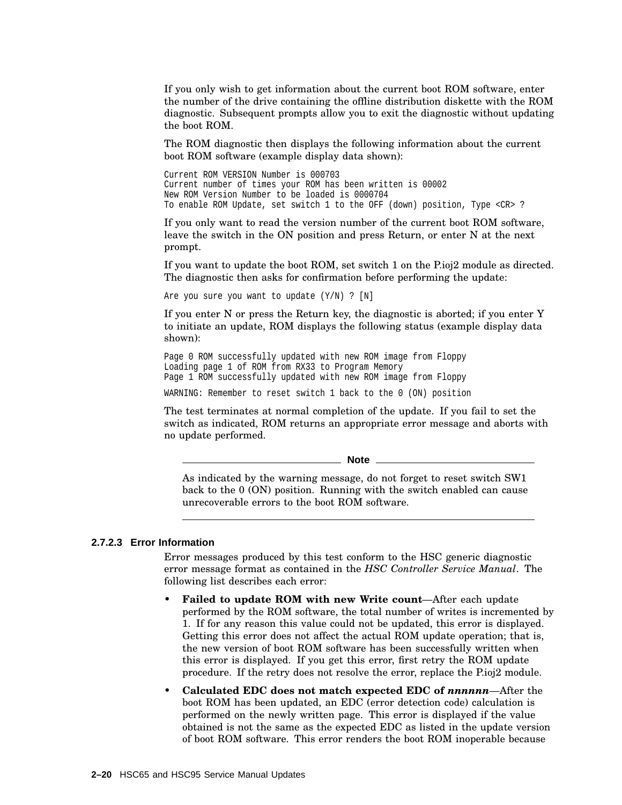If you only wish to get information about the current boot ROM software, enter the number of the drive containing the offline distribution diskette with the ROM diagnostic. Subsequent prompts allow you to exit the diagnostic without updating the boot ROM.

The ROM diagnostic then displays the following information about the current boot ROM software (example display data shown):

Current ROM VERSION Number is 000703 Current number of times your ROM has been written is 00002 New ROM Version Number to be loaded is 0000704 To enable ROM Update, set switch 1 to the OFF (down) position, Type <CR> ?

If you only want to read the version number of the current boot ROM software, leave the switch in the ON position and press Return, or enter N at the next prompt.

If you want to update the boot ROM, set switch 1 on the P.ioj2 module as directed. The diagnostic then asks for confirmation before performing the update:

Are you sure you want to update  $(Y/N)$  ?  $[N]$ 

If you enter N or press the Return key, the diagnostic is aborted; if you enter Y to initiate an update, ROM displays the following status (example display data shown):

Page 0 ROM successfully updated with new ROM image from Floppy Loading page 1 of ROM from RX33 to Program Memory Page 1 ROM successfully updated with new ROM image from Floppy

WARNING: Remember to reset switch 1 back to the 0 (ON) position

The test terminates at normal completion of the update. If you fail to set the switch as indicated, ROM returns an appropriate error message and aborts with no update performed.

**Note**

As indicated by the warning message, do not forget to reset switch SW1 back to the 0 (ON) position. Running with the switch enabled can cause unrecoverable errors to the boot ROM software.

#### **2.7.2.3 Error Information**

Error messages produced by this test conform to the HSC generic diagnostic error message format as contained in the *HSC Controller Service Manual*. The following list describes each error:

- **Failed to update ROM with new Write count**—After each update performed by the ROM software, the total number of writes is incremented by 1. If for any reason this value could not be updated, this error is displayed. Getting this error does not affect the actual ROM update operation; that is, the new version of boot ROM software has been successfully written when this error is displayed. If you get this error, first retry the ROM update procedure. If the retry does not resolve the error, replace the P.ioj2 module.
- **Calculated EDC does not match expected EDC of** *nnnnnn*—After the boot ROM has been updated, an EDC (error detection code) calculation is performed on the newly written page. This error is displayed if the value obtained is not the same as the expected EDC as listed in the update version of boot ROM software. This error renders the boot ROM inoperable because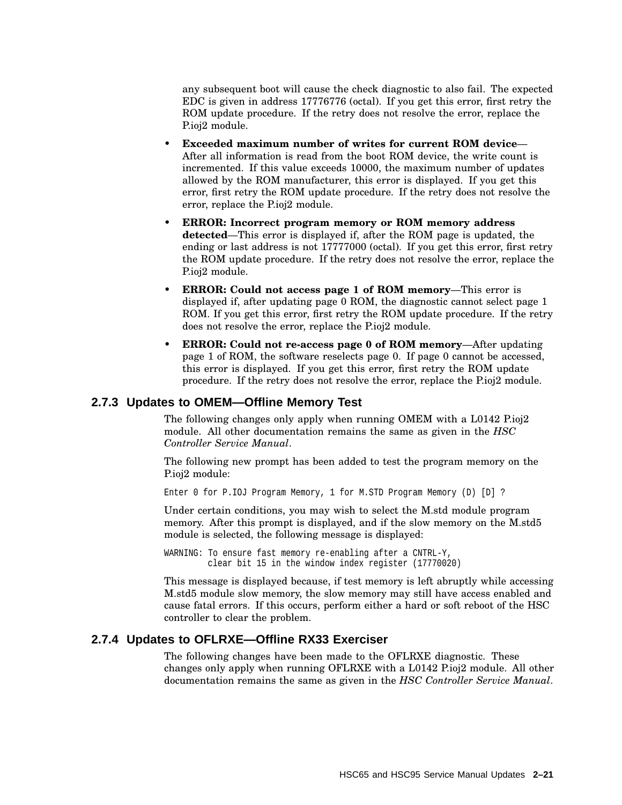any subsequent boot will cause the check diagnostic to also fail. The expected EDC is given in address 17776776 (octal). If you get this error, first retry the ROM update procedure. If the retry does not resolve the error, replace the P.ioj2 module.

- **Exceeded maximum number of writes for current ROM device** After all information is read from the boot ROM device, the write count is incremented. If this value exceeds 10000, the maximum number of updates allowed by the ROM manufacturer, this error is displayed. If you get this error, first retry the ROM update procedure. If the retry does not resolve the error, replace the P.ioj2 module.
- **ERROR: Incorrect program memory or ROM memory address detected**—This error is displayed if, after the ROM page is updated, the ending or last address is not 17777000 (octal). If you get this error, first retry the ROM update procedure. If the retry does not resolve the error, replace the P.ioj2 module.
- **ERROR: Could not access page 1 of ROM memory**—This error is displayed if, after updating page 0 ROM, the diagnostic cannot select page 1 ROM. If you get this error, first retry the ROM update procedure. If the retry does not resolve the error, replace the P.ioj2 module.
- **ERROR: Could not re-access page 0 of ROM memory**—After updating page 1 of ROM, the software reselects page 0. If page 0 cannot be accessed, this error is displayed. If you get this error, first retry the ROM update procedure. If the retry does not resolve the error, replace the P.ioj2 module.

#### **2.7.3 Updates to OMEM—Offline Memory Test**

The following changes only apply when running OMEM with a L0142 P.ioj2 module. All other documentation remains the same as given in the *HSC Controller Service Manual*.

The following new prompt has been added to test the program memory on the P.ioj2 module:

Enter 0 for P.IOJ Program Memory, 1 for M.STD Program Memory (D) [D] ?

Under certain conditions, you may wish to select the M.std module program memory. After this prompt is displayed, and if the slow memory on the M.std5 module is selected, the following message is displayed:

WARNING: To ensure fast memory re-enabling after a CNTRL-Y, clear bit 15 in the window index register (17770020)

This message is displayed because, if test memory is left abruptly while accessing M.std5 module slow memory, the slow memory may still have access enabled and cause fatal errors. If this occurs, perform either a hard or soft reboot of the HSC controller to clear the problem.

#### **2.7.4 Updates to OFLRXE—Offline RX33 Exerciser**

The following changes have been made to the OFLRXE diagnostic. These changes only apply when running OFLRXE with a L0142 P.ioj2 module. All other documentation remains the same as given in the *HSC Controller Service Manual*.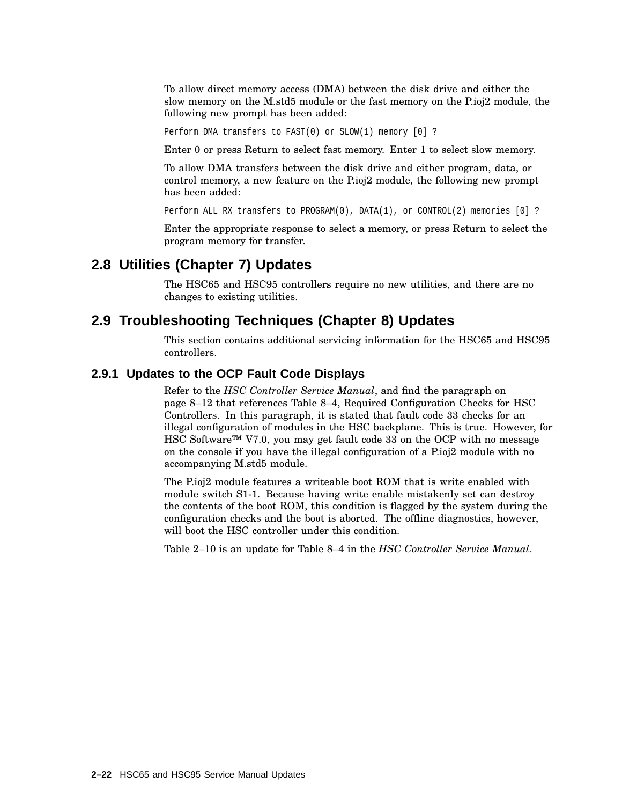To allow direct memory access (DMA) between the disk drive and either the slow memory on the M.std5 module or the fast memory on the P.ioj2 module, the following new prompt has been added:

Perform DMA transfers to FAST(0) or SLOW(1) memory [0] ?

Enter 0 or press Return to select fast memory. Enter 1 to select slow memory.

To allow DMA transfers between the disk drive and either program, data, or control memory, a new feature on the P.ioj2 module, the following new prompt has been added:

Perform ALL RX transfers to PROGRAM(0), DATA(1), or CONTROL(2) memories [0] ?

Enter the appropriate response to select a memory, or press Return to select the program memory for transfer.

# **2.8 Utilities (Chapter 7) Updates**

The HSC65 and HSC95 controllers require no new utilities, and there are no changes to existing utilities.

## **2.9 Troubleshooting Techniques (Chapter 8) Updates**

This section contains additional servicing information for the HSC65 and HSC95 controllers.

#### **2.9.1 Updates to the OCP Fault Code Displays**

Refer to the *HSC Controller Service Manual*, and find the paragraph on page 8–12 that references Table 8–4, Required Configuration Checks for HSC Controllers. In this paragraph, it is stated that fault code 33 checks for an illegal configuration of modules in the HSC backplane. This is true. However, for HSC Software™ V7.0, you may get fault code 33 on the OCP with no message on the console if you have the illegal configuration of a P.ioj2 module with no accompanying M.std5 module.

The P.ioj2 module features a writeable boot ROM that is write enabled with module switch S1-1. Because having write enable mistakenly set can destroy the contents of the boot ROM, this condition is flagged by the system during the configuration checks and the boot is aborted. The offline diagnostics, however, will boot the HSC controller under this condition.

Table 2–10 is an update for Table 8–4 in the *HSC Controller Service Manual*.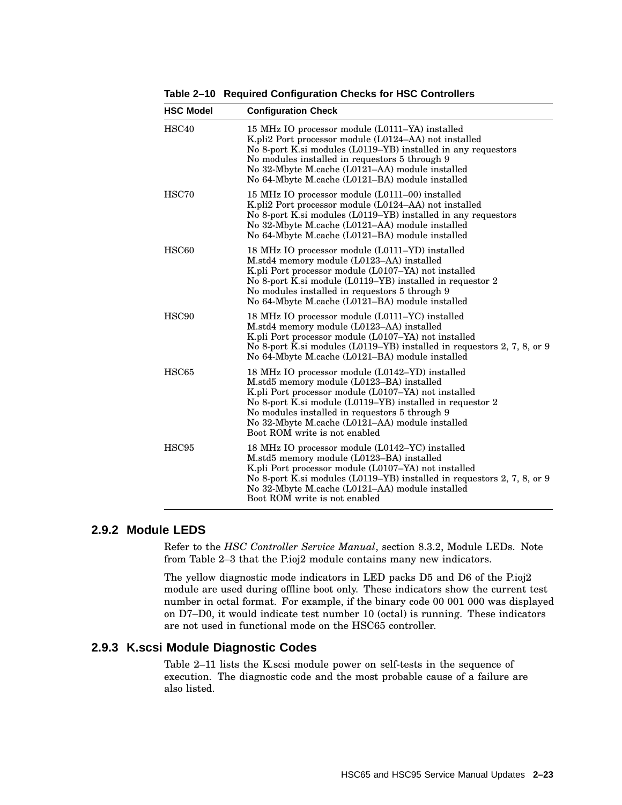**Table 2–10 Required Configuration Checks for HSC Controllers**

| <b>HSC Model</b>  | <b>Configuration Check</b>                                                                                                                                                                                                                                                                                                                              |
|-------------------|---------------------------------------------------------------------------------------------------------------------------------------------------------------------------------------------------------------------------------------------------------------------------------------------------------------------------------------------------------|
| HSC <sub>40</sub> | 15 MHz IO processor module (L0111–YA) installed<br>K.pli2 Port processor module (L0124–AA) not installed<br>No 8-port K.si modules (L0119–YB) installed in any requestors<br>No modules installed in requestors 5 through 9<br>No 32-Mbyte M.cache (L0121–AA) module installed<br>No 64-Mbyte M.cache (L0121–BA) module installed                       |
| HSC70             | 15 MHz IO processor module (L0111–00) installed<br>K.pli2 Port processor module (L0124-AA) not installed<br>No 8-port K.si modules (L0119-YB) installed in any requestors<br>No 32-Mbyte M.cache (L0121-AA) module installed<br>No 64-Mbyte M.cache (L0121–BA) module installed                                                                         |
| HSC60             | 18 MHz IO processor module (L0111–YD) installed<br>M.std4 memory module (L0123–AA) installed<br>K.pli Port processor module (L0107–YA) not installed<br>No 8-port K.si module (L0119–YB) installed in requestor 2<br>No modules installed in requestors 5 through 9<br>No 64-Mbyte M.cache (L0121-BA) module installed                                  |
| HSC <sub>90</sub> | 18 MHz IO processor module (L0111–YC) installed<br>M.std4 memory module (L0123-AA) installed<br>K.pli Port processor module (L0107–YA) not installed<br>No 8-port K si modules (L0119–YB) installed in requestors 2, 7, 8, or 9<br>No 64-Mbyte M.cache (L0121–BA) module installed                                                                      |
| HSC65             | 18 MHz IO processor module (L0142–YD) installed<br>M.std5 memory module (L0123–BA) installed<br>K.pli Port processor module (L0107-YA) not installed<br>No 8-port K.si module (L0119–YB) installed in requestor 2<br>No modules installed in requestors 5 through 9<br>No 32-Mbyte M.cache (L0121-AA) module installed<br>Boot ROM write is not enabled |
| HSC95             | 18 MHz IO processor module (L0142–YC) installed<br>M.std5 memory module (L0123–BA) installed<br>K.pli Port processor module (L0107–YA) not installed<br>No 8-port K.si modules (L0119–YB) installed in requestors 2, 7, 8, or 9<br>No 32-Mbyte M.cache (L0121–AA) module installed<br>Boot ROM write is not enabled                                     |

#### **2.9.2 Module LEDS**

Refer to the *HSC Controller Service Manual*, section 8.3.2, Module LEDs. Note from Table 2–3 that the P.ioj2 module contains many new indicators.

The yellow diagnostic mode indicators in LED packs D5 and D6 of the P.ioj2 module are used during offline boot only. These indicators show the current test number in octal format. For example, if the binary code 00 001 000 was displayed on D7–D0, it would indicate test number 10 (octal) is running. These indicators are not used in functional mode on the HSC65 controller.

#### **2.9.3 K.scsi Module Diagnostic Codes**

Table 2–11 lists the K.scsi module power on self-tests in the sequence of execution. The diagnostic code and the most probable cause of a failure are also listed.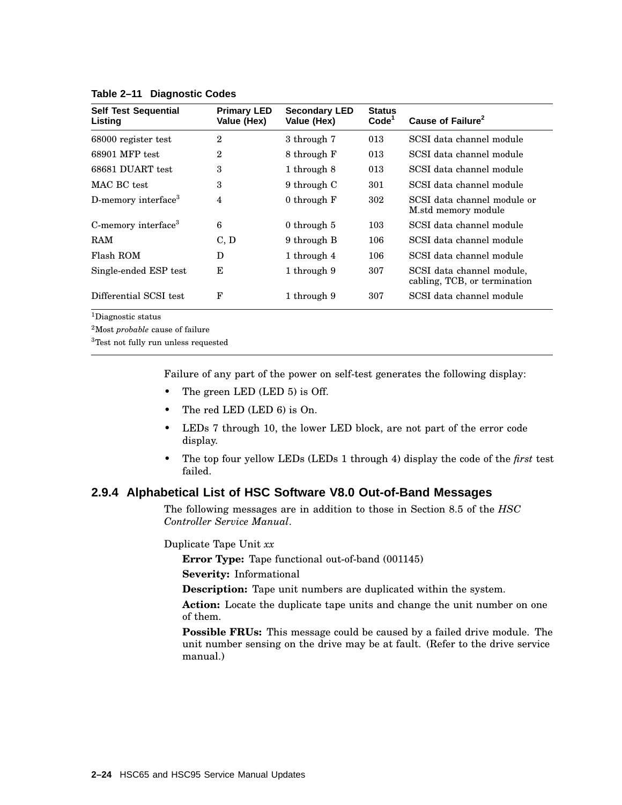| <b>Self Test Sequential</b><br>Listing | <b>Primary LED</b><br>Value (Hex) | <b>Secondary LED</b><br>Value (Hex) | <b>Status</b><br>Code <sup>1</sup> | Cause of Failure <sup>2</sup>                             |
|----------------------------------------|-----------------------------------|-------------------------------------|------------------------------------|-----------------------------------------------------------|
| 68000 register test                    | 2                                 | 3 through 7                         | 013                                | SCSI data channel module                                  |
| 68901 MFP test                         | 2                                 | 8 through F                         | 013                                | SCSI data channel module                                  |
| 68681 DUART test                       | 3                                 | 1 through 8                         | 013                                | SCSI data channel module                                  |
| MAC BC test                            | 3                                 | 9 through C                         | 301                                | SCSI data channel module                                  |
| D-memory interface <sup>3</sup>        | 4                                 | 0 through F                         | 302                                | SCSI data channel module or<br>M.std memory module        |
| C-memory interface <sup>3</sup>        | 6                                 | 0 through 5                         | 103                                | SCSI data channel module                                  |
| RAM                                    | C, D                              | 9 through B                         | 106                                | SCSI data channel module                                  |
| Flash ROM                              | D                                 | 1 through 4                         | 106                                | SCSI data channel module                                  |
| Single-ended ESP test                  | E                                 | 1 through 9                         | 307                                | SCSI data channel module,<br>cabling, TCB, or termination |
| Differential SCSI test                 | F                                 | 1 through 9                         | 307                                | SCSI data channel module                                  |

#### **Table 2–11 Diagnostic Codes**

<sup>1</sup>Diagnostic status

<sup>2</sup>Most *probable* cause of failure

<sup>3</sup>Test not fully run unless requested

Failure of any part of the power on self-test generates the following display:

- The green LED (LED 5) is Off.
- The red LED (LED 6) is On.
- LEDs 7 through 10, the lower LED block, are not part of the error code display.
- The top four yellow LEDs (LEDs 1 through 4) display the code of the *first* test failed.

## **2.9.4 Alphabetical List of HSC Software V8.0 Out-of-Band Messages**

The following messages are in addition to those in Section 8.5 of the *HSC Controller Service Manual*.

Duplicate Tape Unit *xx*

**Error Type:** Tape functional out-of-band (001145)

**Severity:** Informational

**Description:** Tape unit numbers are duplicated within the system.

**Action:** Locate the duplicate tape units and change the unit number on one of them.

**Possible FRUs:** This message could be caused by a failed drive module. The unit number sensing on the drive may be at fault. (Refer to the drive service manual.)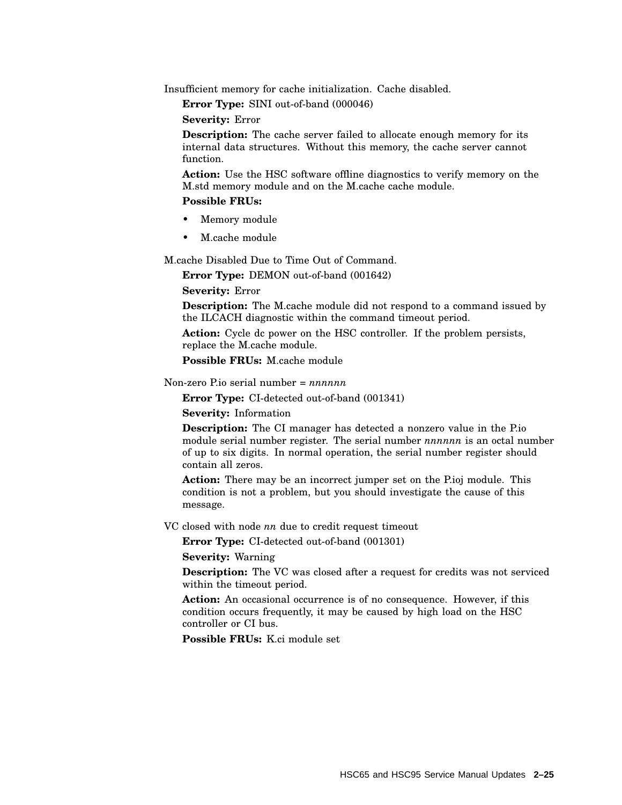Insufficient memory for cache initialization. Cache disabled.

**Error Type:** SINI out-of-band (000046)

**Severity:** Error

**Description:** The cache server failed to allocate enough memory for its internal data structures. Without this memory, the cache server cannot function.

**Action:** Use the HSC software offline diagnostics to verify memory on the M.std memory module and on the M.cache cache module.

#### **Possible FRUs:**

- Memory module
- M.cache module

M.cache Disabled Due to Time Out of Command.

**Error Type:** DEMON out-of-band (001642)

**Severity:** Error

**Description:** The M.cache module did not respond to a command issued by the ILCACH diagnostic within the command timeout period.

**Action:** Cycle dc power on the HSC controller. If the problem persists, replace the M.cache module.

**Possible FRUs:** M cache module

Non-zero P.io serial number = *nnnnnn*

**Error Type:** CI-detected out-of-band (001341)

**Severity:** Information

**Description:** The CI manager has detected a nonzero value in the P.io module serial number register. The serial number *nnnnnn* is an octal number of up to six digits. In normal operation, the serial number register should contain all zeros.

Action: There may be an incorrect jumper set on the P.ioj module. This condition is not a problem, but you should investigate the cause of this message.

VC closed with node *nn* due to credit request timeout

**Error Type:** CI-detected out-of-band (001301)

**Severity:** Warning

**Description:** The VC was closed after a request for credits was not serviced within the timeout period.

Action: An occasional occurrence is of no consequence. However, if this condition occurs frequently, it may be caused by high load on the HSC controller or CI bus.

**Possible FRUs:** K.ci module set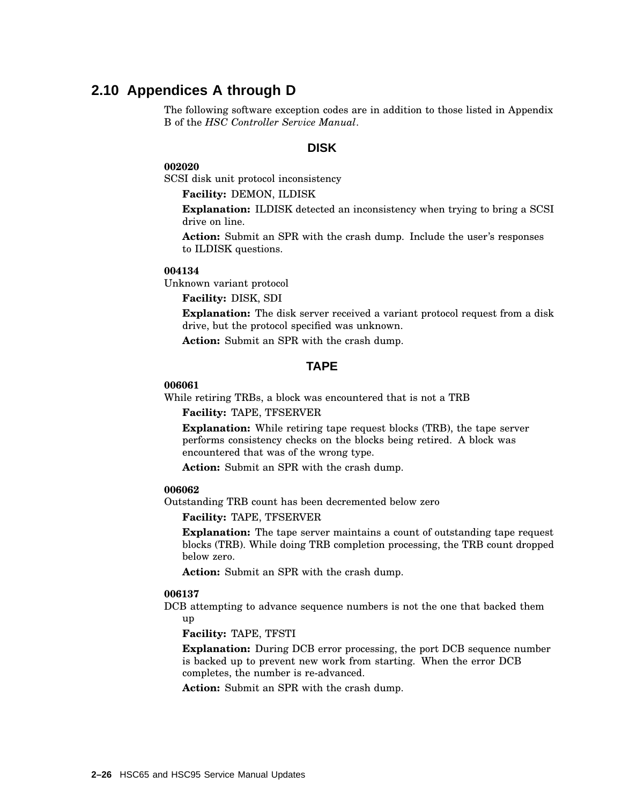# **2.10 Appendices A through D**

The following software exception codes are in addition to those listed in Appendix B of the *HSC Controller Service Manual*.

#### **DISK**

#### **002020**

SCSI disk unit protocol inconsistency

**Facility:** DEMON, ILDISK

**Explanation:** ILDISK detected an inconsistency when trying to bring a SCSI drive on line.

**Action:** Submit an SPR with the crash dump. Include the user's responses to ILDISK questions.

#### **004134**

Unknown variant protocol

#### **Facility:** DISK, SDI

**Explanation:** The disk server received a variant protocol request from a disk drive, but the protocol specified was unknown.

**Action:** Submit an SPR with the crash dump.

#### **TAPE**

#### **006061**

While retiring TRBs, a block was encountered that is not a TRB

**Facility:** TAPE, TFSERVER

**Explanation:** While retiring tape request blocks (TRB), the tape server performs consistency checks on the blocks being retired. A block was encountered that was of the wrong type.

**Action:** Submit an SPR with the crash dump.

#### **006062**

Outstanding TRB count has been decremented below zero

**Facility:** TAPE, TFSERVER

**Explanation:** The tape server maintains a count of outstanding tape request blocks (TRB). While doing TRB completion processing, the TRB count dropped below zero.

**Action:** Submit an SPR with the crash dump.

#### **006137**

DCB attempting to advance sequence numbers is not the one that backed them up

**Facility:** TAPE, TFSTI

**Explanation:** During DCB error processing, the port DCB sequence number is backed up to prevent new work from starting. When the error DCB completes, the number is re-advanced.

**Action:** Submit an SPR with the crash dump.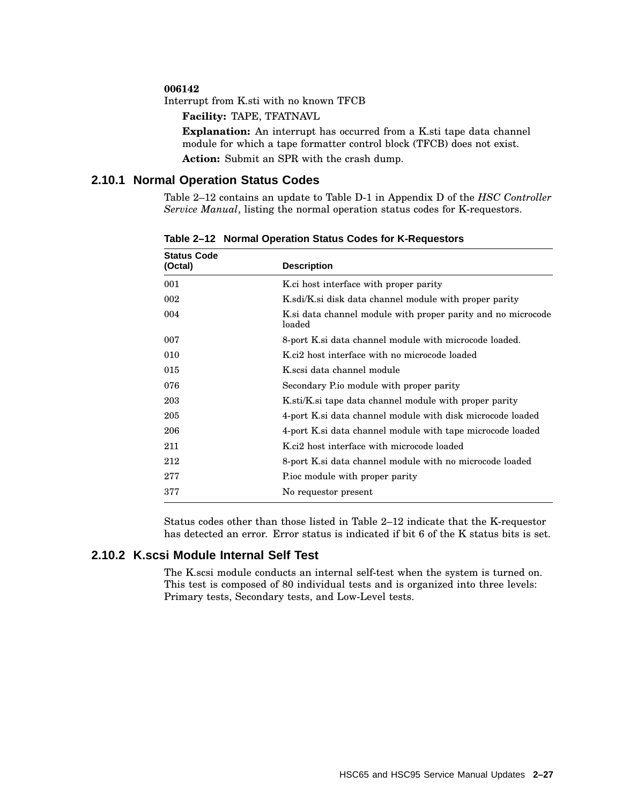#### **006142**

Interrupt from K.sti with no known TFCB

**Facility:** TAPE, TFATNAVL

**Explanation:** An interrupt has occurred from a K.sti tape data channel module for which a tape formatter control block (TFCB) does not exist. **Action:** Submit an SPR with the crash dump.

#### **2.10.1 Normal Operation Status Codes**

Table 2–12 contains an update to Table D-1 in Appendix D of the *HSC Controller Service Manual*, listing the normal operation status codes for K-requestors.

| <b>Status Code</b><br>(Octal) | <b>Description</b>                                                     |  |
|-------------------------------|------------------------------------------------------------------------|--|
|                               |                                                                        |  |
| 001                           | K.ci host interface with proper parity                                 |  |
| 002                           | K.sdi/K.si disk data channel module with proper parity                 |  |
| 004                           | K si data channel module with proper parity and no microcode<br>loaded |  |
| 007                           | 8-port K.si data channel module with microcode loaded.                 |  |
| 010                           | K <sub>ci</sub> 2 host interface with no microcode loaded              |  |
| 015                           | K.scsi data channel module                                             |  |
| 076                           | Secondary Pio module with proper parity                                |  |
| 203                           | K.sti/K.si tape data channel module with proper parity                 |  |
| 205                           | 4-port K.si data channel module with disk microcode loaded             |  |
| 206                           | 4-port K.si data channel module with tape microcode loaded             |  |
| 211                           | K.ci2 host interface with microcode loaded                             |  |
| 212                           | 8-port K si data channel module with no microcode loaded               |  |
| 277                           | Proc module with proper parity                                         |  |
| 377                           | No requestor present                                                   |  |
|                               |                                                                        |  |

**Table 2–12 Normal Operation Status Codes for K-Requestors**

Status codes other than those listed in Table 2–12 indicate that the K-requestor has detected an error. Error status is indicated if bit 6 of the K status bits is set.

#### **2.10.2 K.scsi Module Internal Self Test**

The K.scsi module conducts an internal self-test when the system is turned on. This test is composed of 80 individual tests and is organized into three levels: Primary tests, Secondary tests, and Low-Level tests.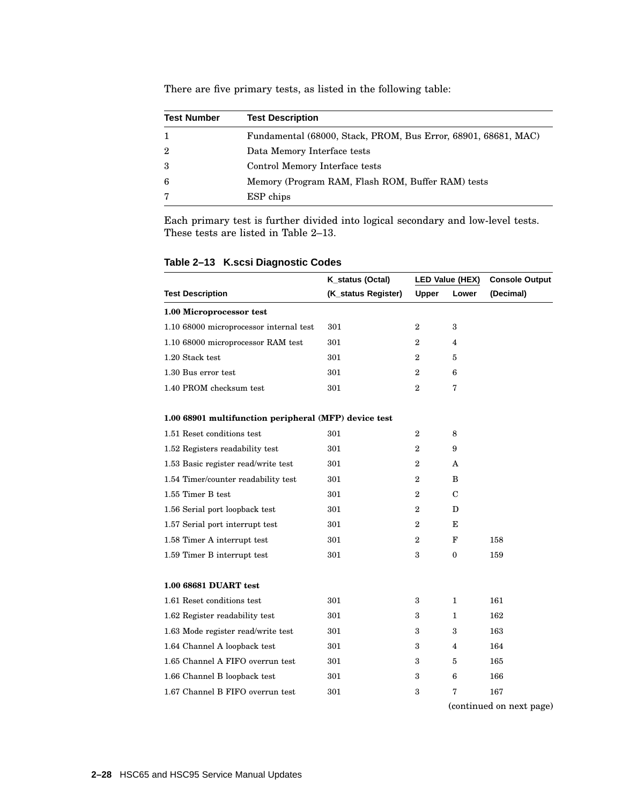| <b>Test Number</b> | <b>Test Description</b>                                        |
|--------------------|----------------------------------------------------------------|
|                    | Fundamental (68000, Stack, PROM, Bus Error, 68901, 68681, MAC) |
| $\overline{2}$     | Data Memory Interface tests                                    |
| 3                  | Control Memory Interface tests                                 |
| 6                  | Memory (Program RAM, Flash ROM, Buffer RAM) tests              |
|                    | ESP chips                                                      |

There are five primary tests, as listed in the following table:

Each primary test is further divided into logical secondary and low-level tests. These tests are listed in Table 2–13.

| Table 2-13 K.scsi Diagnostic Codes |  |  |  |
|------------------------------------|--|--|--|
|------------------------------------|--|--|--|

|                                                       | K_status (Octal)    |                  | LED Value (HEX)         | <b>Console Output</b> |
|-------------------------------------------------------|---------------------|------------------|-------------------------|-----------------------|
| <b>Test Description</b>                               | (K_status Register) | Upper            | Lower                   | (Decimal)             |
| 1.00 Microprocessor test                              |                     |                  |                         |                       |
| 1.10 68000 microprocessor internal test               | 301                 | $\overline{2}$   | 3                       |                       |
| 1.10 68000 microprocessor RAM test                    | 301                 | $\overline{2}$   | 4                       |                       |
| 1.20 Stack test                                       | 301                 | $\overline{2}$   | 5                       |                       |
| 1.30 Bus error test                                   | 301                 | $\overline{2}$   | 6                       |                       |
| 1.40 PROM checksum test                               | 301                 | $\overline{2}$   | 7                       |                       |
| 1.00 68901 multifunction peripheral (MFP) device test |                     |                  |                         |                       |
| 1.51 Reset conditions test                            | 301                 | $\boldsymbol{2}$ | 8                       |                       |
| 1.52 Registers readability test                       | 301                 | $\overline{2}$   | 9                       |                       |
| 1.53 Basic register read/write test                   | 301                 | 2                | A                       |                       |
| 1.54 Timer/counter readability test                   | 301                 | $\overline{2}$   | B                       |                       |
| 1.55 Timer B test                                     | 301                 | $\overline{2}$   | $\mathbf C$             |                       |
| 1.56 Serial port loopback test                        | 301                 | $\overline{2}$   | D                       |                       |
| 1.57 Serial port interrupt test                       | 301                 | $\overline{2}$   | Е                       |                       |
| 1.58 Timer A interrupt test                           | 301                 | $\overline{2}$   | F                       | 158                   |
| 1.59 Timer B interrupt test                           | 301                 | 3                | $\mathbf{0}$            | 159                   |
| 1.00 68681 DUART test                                 |                     |                  |                         |                       |
| 1.61 Reset conditions test                            | 301                 | 3                | 1                       | 161                   |
| 1.62 Register readability test                        | 301                 | 3                | 1                       | 162                   |
| 1.63 Mode register read/write test                    | 301                 | 3                | 3                       | 163                   |
| 1.64 Channel A loopback test                          | 301                 | 3                | $\overline{\mathbf{4}}$ | 164                   |
| 1.65 Channel A FIFO overrun test                      | 301                 | 3                | 5                       | 165                   |
| 1.66 Channel B loopback test                          | 301                 | 3                | 6                       | 166                   |
| 1.67 Channel B FIFO overrun test                      | 301                 | 3                | 7                       | 167                   |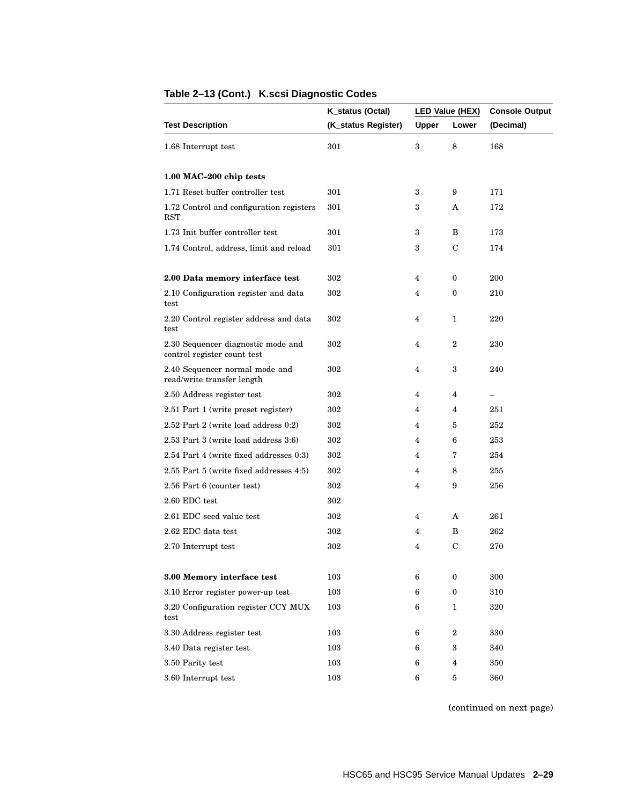|                                                                   | K_status (Octal)    |              | LED Value (HEX)  | <b>Console Output</b> |
|-------------------------------------------------------------------|---------------------|--------------|------------------|-----------------------|
| <b>Test Description</b>                                           | (K_status Register) | <b>Upper</b> | Lower            | (Decimal)             |
| 1.68 Interrupt test                                               | 301                 | 3            | 8                | 168                   |
| 1.00 MAC-200 chip tests                                           |                     |              |                  |                       |
| 1.71 Reset buffer controller test                                 | 301                 | 3            | 9                | 171                   |
| 1.72 Control and configuration registers<br><b>RST</b>            | 301                 | 3            | A                | 172                   |
| 1.73 Init buffer controller test                                  | 301                 | 3            | B                | 173                   |
| 1.74 Control, address, limit and reload                           | 301                 | 3            | C                | 174                   |
| 2.00 Data memory interface test                                   | 302                 | 4            | 0                | 200                   |
| 2.10 Configuration register and data<br>test                      | 302                 | 4            | 0                | 210                   |
| 2.20 Control register address and data<br>test                    | 302                 | 4            | 1                | 220                   |
| 2.30 Sequencer diagnostic mode and<br>control register count test | 302                 | 4            | $\boldsymbol{2}$ | 230                   |
| 2.40 Sequencer normal mode and<br>read/write transfer length      | 302                 | 4            | 3                | 240                   |
| 2.50 Address register test                                        | 302                 | 4            | 4                |                       |
| 2.51 Part 1 (write preset register)                               | 302                 | 4            | $\overline{4}$   | 251                   |
| 2.52 Part 2 (write load address 0:2)                              | 302                 | 4            | 5                | 252                   |
| 2.53 Part 3 (write load address 3:6)                              | 302                 | 4            | 6                | 253                   |
| 2.54 Part 4 (write fixed addresses 0:3)                           | 302                 | 4            | 7                | 254                   |
| 2.55 Part 5 (write fixed addresses 4:5)                           | 302                 | 4            | 8                | 255                   |
| 2.56 Part 6 (counter test)                                        | 302                 | 4            | 9                | 256                   |
| $2.60$ EDC test                                                   | 302                 |              |                  |                       |
| 2.61 EDC seed value test                                          | 302                 | 4            | A                | 261                   |
| 2.62 EDC data test                                                | 302                 | 4            | B                | 262                   |
| 2.70 Interrupt test                                               | 302                 | 4            | C                | $270\,$               |
| 3.00 Memory interface test                                        | 103                 | 6            | $\boldsymbol{0}$ | 300                   |
| 3.10 Error register power-up test                                 | 103                 | 6            | $\boldsymbol{0}$ | 310                   |
| 3.20 Configuration register CCY MUX<br>test                       | 103                 | 6            | 1                | 320                   |
| 3.30 Address register test                                        | 103                 | 6            | $\boldsymbol{2}$ | 330                   |
| 3.40 Data register test                                           | 103                 | 6            | 3                | 340                   |
| 3.50 Parity test                                                  | 103                 | 6            | 4                | 350                   |
| 3.60 Interrupt test                                               | 103                 | 6            | $\sqrt{5}$       | 360                   |

# **Table 2–13 (Cont.) K.scsi Diagnostic Codes**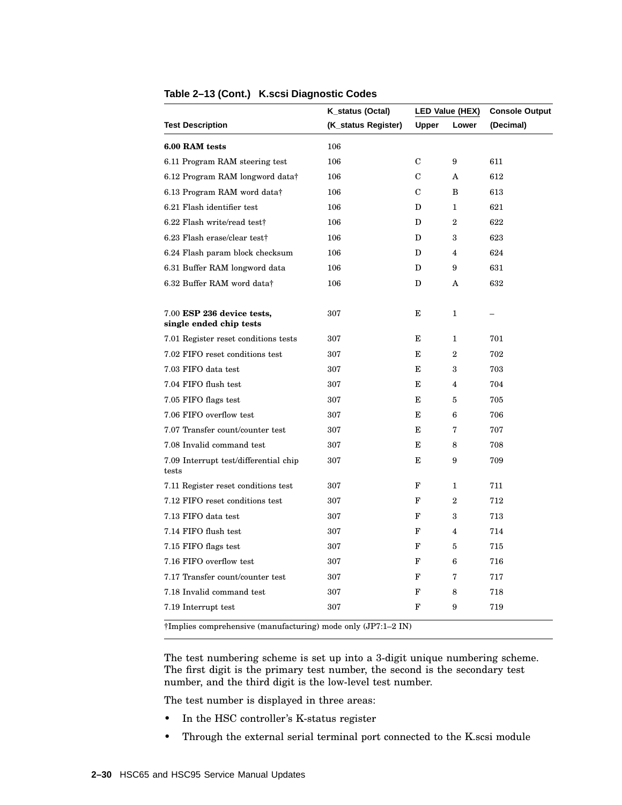|                                                               | K_status (Octal)    |             | LED Value (HEX)         | <b>Console Output</b> |
|---------------------------------------------------------------|---------------------|-------------|-------------------------|-----------------------|
| <b>Test Description</b>                                       | (K_status Register) | Upper       | Lower                   | (Decimal)             |
| 6.00 RAM tests                                                | 106                 |             |                         |                       |
| 6.11 Program RAM steering test                                | 106                 | C           | 9                       | 611                   |
| 6.12 Program RAM longword data†                               | 106                 | $\mathbf C$ | A                       | 612                   |
| 6.13 Program RAM word data†                                   | 106                 | C           | B                       | 613                   |
| 6.21 Flash identifier test                                    | 106                 | D           | 1                       | 621                   |
| 6.22 Flash write/read test†                                   | 106                 | D           | $\boldsymbol{2}$        | 622                   |
| 6.23 Flash erase/clear test†                                  | 106                 | D           | 3                       | 623                   |
| 6.24 Flash param block checksum                               | 106                 | D           | $\overline{4}$          | 624                   |
| 6.31 Buffer RAM longword data                                 | 106                 | D           | 9                       | 631                   |
| 6.32 Buffer RAM word data†                                    | 106                 | D           | A                       | 632                   |
| 7.00 ESP 236 device tests,<br>single ended chip tests         | 307                 | Е           | 1                       |                       |
| 7.01 Register reset conditions tests                          | 307                 | Е           | 1                       | 701                   |
| 7.02 FIFO reset conditions test                               | 307                 | Е           | $\overline{2}$          | 702                   |
| 7.03 FIFO data test                                           | 307                 | Е           | 3                       | 703                   |
| 7.04 FIFO flush test                                          | 307                 | Е           | 4                       | 704                   |
| 7.05 FIFO flags test                                          | 307                 | Е           | 5                       | 705                   |
| 7.06 FIFO overflow test                                       | 307                 | Е           | 6                       | 706                   |
| 7.07 Transfer count/counter test                              | 307                 | E           | 7                       | 707                   |
| 7.08 Invalid command test                                     | 307                 | E           | 8                       | 708                   |
| 7.09 Interrupt test/differential chip<br>tests                | 307                 | E           | 9                       | 709                   |
| 7.11 Register reset conditions test                           | 307                 | F           | 1                       | 711                   |
| 7.12 FIFO reset conditions test                               | 307                 | F           | $\overline{2}$          | 712                   |
| 7.13 FIFO data test                                           | 307                 | F           | 3                       | 713                   |
| 7.14 FIFO flush test                                          | 307                 | F           | $\overline{\mathbf{4}}$ | 714                   |
| 7.15 FIFO flags test                                          | 307                 | F           | 5                       | 715                   |
| 7.16 FIFO overflow test                                       | 307                 | F           | 6                       | 716                   |
| 7.17 Transfer count/counter test                              | 307                 | F           | 7                       | 717                   |
| 7.18 Invalid command test                                     | 307                 | F           | 8                       | 718                   |
| 7.19 Interrupt test                                           | 307                 | F           | 9                       | 719                   |
| †Implies comprehensive (manufacturing) mode only (JP7:1-2 IN) |                     |             |                         |                       |

#### **Table 2–13 (Cont.) K.scsi Diagnostic Codes**

The test numbering scheme is set up into a 3-digit unique numbering scheme. The first digit is the primary test number, the second is the secondary test number, and the third digit is the low-level test number.

The test number is displayed in three areas:

- In the HSC controller's K-status register
- Through the external serial terminal port connected to the K.scsi module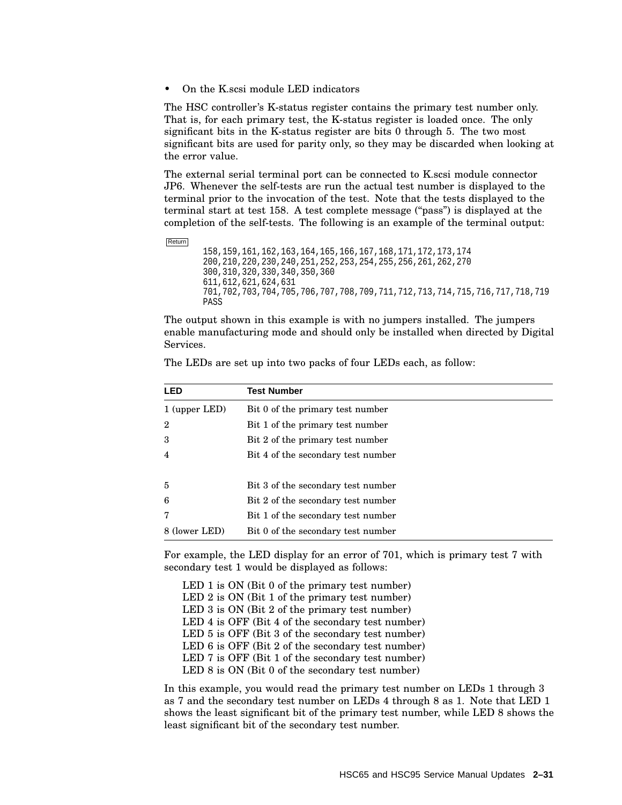• On the K.scsi module LED indicators

The HSC controller's K-status register contains the primary test number only. That is, for each primary test, the K-status register is loaded once. The only significant bits in the K-status register are bits 0 through 5. The two most significant bits are used for parity only, so they may be discarded when looking at the error value.

The external serial terminal port can be connected to K.scsi module connector JP6. Whenever the self-tests are run the actual test number is displayed to the terminal prior to the invocation of the test. Note that the tests displayed to the terminal start at test 158. A test complete message (''pass'') is displayed at the completion of the self-tests. The following is an example of the terminal output:

Return

```
158,159,161,162,163,164,165,166,167,168,171,172,173,174
200,210,220,230,240,251,252,253,254,255,256,261,262,270
300,310,320,330,340,350,360
611,612,621,624,631
701,702,703,704,705,706,707,708,709,711,712,713,714,715,716,717,718,719
PASS
```
The output shown in this example is with no jumpers installed. The jumpers enable manufacturing mode and should only be installed when directed by Digital Services.

| LED            | <b>Test Number</b>                 |
|----------------|------------------------------------|
| 1 (upper LED)  | Bit 0 of the primary test number   |
| $\overline{2}$ | Bit 1 of the primary test number   |
| 3              | Bit 2 of the primary test number   |
| 4              | Bit 4 of the secondary test number |
|                |                                    |
| 5              | Bit 3 of the secondary test number |
| 6              | Bit 2 of the secondary test number |
| 7              | Bit 1 of the secondary test number |
| 8 (lower LED)  | Bit 0 of the secondary test number |

The LEDs are set up into two packs of four LEDs each, as follow:

For example, the LED display for an error of 701, which is primary test 7 with secondary test 1 would be displayed as follows:

LED 1 is ON (Bit 0 of the primary test number) LED 2 is ON (Bit 1 of the primary test number) LED 3 is ON (Bit 2 of the primary test number) LED 4 is OFF (Bit 4 of the secondary test number) LED 5 is OFF (Bit 3 of the secondary test number) LED 6 is OFF (Bit 2 of the secondary test number) LED 7 is OFF (Bit 1 of the secondary test number) LED 8 is ON (Bit 0 of the secondary test number)

In this example, you would read the primary test number on LEDs 1 through 3 as 7 and the secondary test number on LEDs 4 through 8 as 1. Note that LED 1 shows the least significant bit of the primary test number, while LED 8 shows the least significant bit of the secondary test number.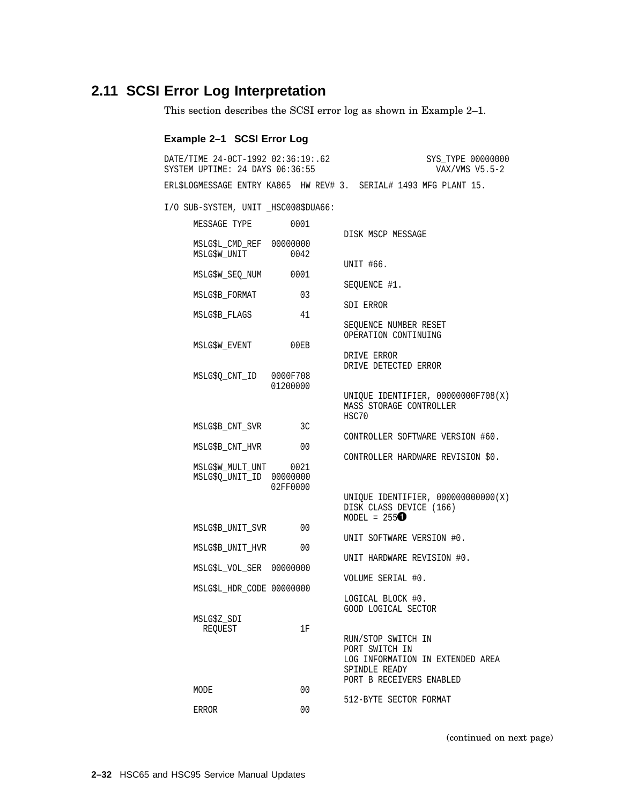# **2.11 SCSI Error Log Interpretation**

This section describes the SCSI error log as shown in Example 2–1.

#### **Example 2–1 SCSI Error Log**

| DATE/TIME 24-0CT-1992 02:36:19:.62<br>SYSTEM UPTIME: 24 DAYS 06:36:55 |          | SYS TYPE 00000000<br>VAX/VMS $V5.5-2$                                                                                 |
|-----------------------------------------------------------------------|----------|-----------------------------------------------------------------------------------------------------------------------|
|                                                                       |          | ERL\$LOGMESSAGE ENTRY KA865 HW REV# 3. SERIAL# 1493 MFG PLANT 15.                                                     |
| I/O SUB-SYSTEM, UNIT _HSC008\$DUA66:                                  |          |                                                                                                                       |
| MESSAGE TYPE                                                          | 0001     | DISK MSCP MESSAGE                                                                                                     |
| MSLG\$L_CMD_REF 00000000<br>MSLG\$W_UNIT                              | 0042     | UNIT #66.                                                                                                             |
| MSLG\$W SEO NUM                                                       | 0001     | SEOUENCE #1.                                                                                                          |
| MSLG\$B_FORMAT                                                        | 03       |                                                                                                                       |
| MSLG\$B FLAGS                                                         | 41       | SDI ERROR                                                                                                             |
| MSLG\$W_EVENT                                                         | 00EB     | SEQUENCE NUMBER RESET<br>OPERATION CONTINUING                                                                         |
| MSLG\$Q CNT ID                                                        | 0000F708 | DRIVE ERROR<br>DRIVE DETECTED ERROR                                                                                   |
|                                                                       | 01200000 | UNIQUE IDENTIFIER, 00000000F708(X)<br>MASS STORAGE CONTROLLER<br>HSC70                                                |
| MSLG\$B CNT SVR                                                       | 3C       |                                                                                                                       |
| MSLG\$B_CNT_HVR                                                       | 00       | CONTROLLER SOFTWARE VERSION #60.                                                                                      |
| MSLG\$W_MULT_UNT 0021<br>MSLG\$0 UNIT ID 00000000                     | 02FF0000 | CONTROLLER HARDWARE REVISION \$0.                                                                                     |
|                                                                       |          | UNIQUE IDENTIFIER, 000000000000(X)<br>DISK CLASS DEVICE (166)<br>MODEL = $255$                                        |
| MSLG\$B_UNIT_SVR                                                      | 00       | UNIT SOFTWARE VERSION #0.                                                                                             |
| MSLG\$B_UNIT_HVR                                                      | 00       | UNIT HARDWARE REVISION #0.                                                                                            |
| MSLG\$L_VOL_SER 00000000                                              |          | VOLUME SERIAL #0.                                                                                                     |
| MSLG\$L_HDR_CODE 00000000                                             |          | LOGICAL BLOCK #0.                                                                                                     |
| MSLG\$Z_SDI<br>REQUEST                                                | 1F       | GOOD LOGICAL SECTOR                                                                                                   |
|                                                                       |          | RUN/STOP SWITCH IN<br>PORT SWITCH IN<br>LOG INFORMATION IN EXTENDED AREA<br>SPINDLE READY<br>PORT B RECEIVERS ENABLED |
| MODE                                                                  | 00       | 512-BYTE SECTOR FORMAT                                                                                                |
| ERROR                                                                 | 00       |                                                                                                                       |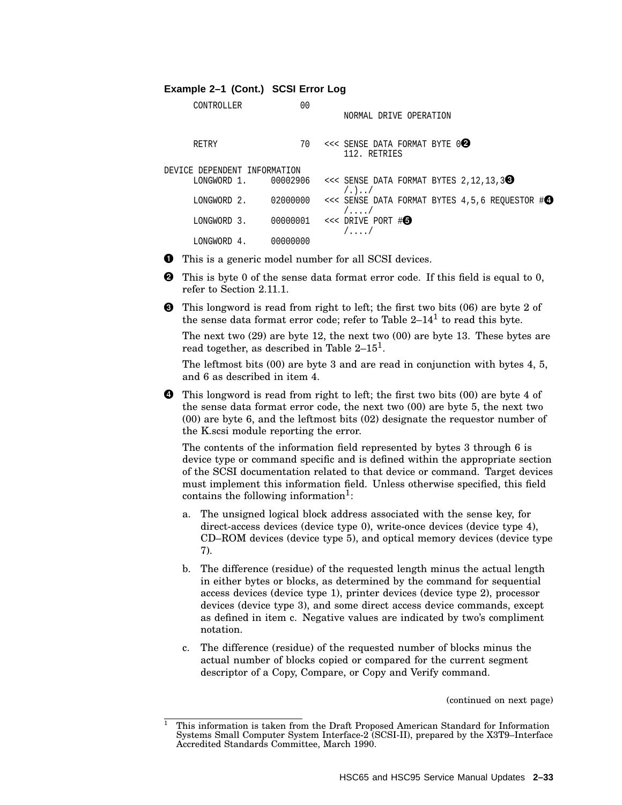#### **Example 2–1 (Cont.) SCSI Error Log**

| CONTROLLER                   |                | 0 <sub>0</sub> | NORMAL DRIVE OPERATION                                                                                   |
|------------------------------|----------------|----------------|----------------------------------------------------------------------------------------------------------|
| RETRY                        |                | 70             | $<<$ SENSE DATA FORMAT BYTE $0$ 2<br>112. RETRIES                                                        |
| DEVICE DEPENDENT INFORMATION |                |                |                                                                                                          |
|                              |                |                | LONGWORD 1. 00002906 <<< SENSE DATA FORMAT BYTES $2, 12, 13, 3$<br>( . ) /                               |
| LONGWORD 2.                  |                |                | 02000000 <<< SENSE DATA FORMAT BYTES $4,5,6$ REQUESTOR $\sharp \bigcirc$<br>$/ \, . \, . \, . \, . \, /$ |
| LONGWORD 3.                  |                |                | $00000001$ <<< DRIVE PORT # $\bullet$<br>$/$ $/$                                                         |
| LONGWORD                     | 00000000<br>4. |                |                                                                                                          |

**This is a generic model number for all SCSI devices.** 

- **2** This is byte 0 of the sense data format error code. If this field is equal to 0, refer to Section 2.11.1.
- This longword is read from right to left; the first two bits (06) are byte 2 of the sense data format error code; refer to Table  $2-14^1$  to read this byte.

The next two (29) are byte 12, the next two (00) are byte 13. These bytes are read together, as described in Table  $2-15^1$ .

The leftmost bits (00) are byte 3 and are read in conjunction with bytes 4, 5, and 6 as described in item 4.

**4** This longword is read from right to left; the first two bits (00) are byte 4 of the sense data format error code, the next two (00) are byte 5, the next two (00) are byte 6, and the leftmost bits (02) designate the requestor number of the K.scsi module reporting the error.

The contents of the information field represented by bytes 3 through 6 is device type or command specific and is defined within the appropriate section of the SCSI documentation related to that device or command. Target devices must implement this information field. Unless otherwise specified, this field contains the following information<sup>1</sup>:

- a. The unsigned logical block address associated with the sense key, for direct-access devices (device type 0), write-once devices (device type 4), CD–ROM devices (device type 5), and optical memory devices (device type 7).
- b. The difference (residue) of the requested length minus the actual length in either bytes or blocks, as determined by the command for sequential access devices (device type 1), printer devices (device type 2), processor devices (device type 3), and some direct access device commands, except as defined in item c. Negative values are indicated by two's compliment notation.
- c. The difference (residue) of the requested number of blocks minus the actual number of blocks copied or compared for the current segment descriptor of a Copy, Compare, or Copy and Verify command.

<sup>1</sup> This information is taken from the Draft Proposed American Standard for Information Systems Small Computer System Interface-2 (SCSI-II), prepared by the X3T9–Interface Accredited Standards Committee, March 1990.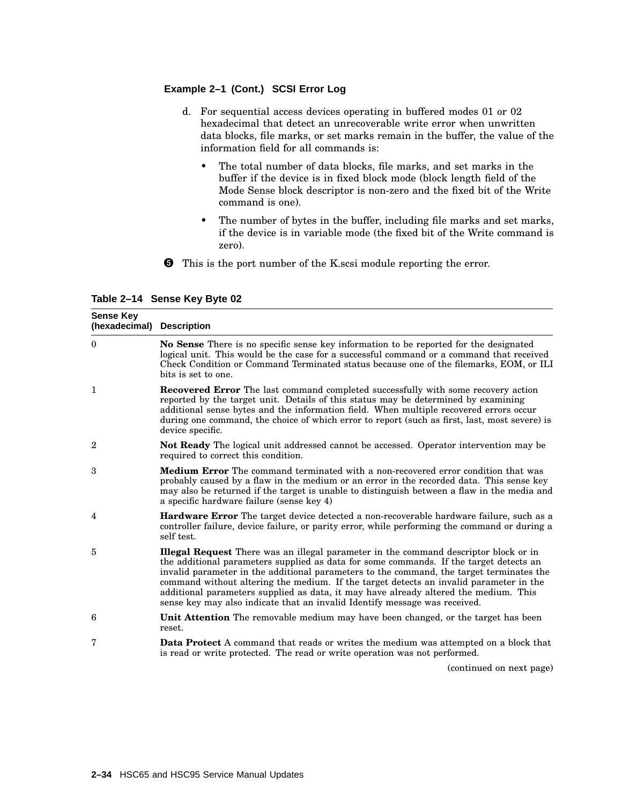#### **Example 2–1 (Cont.) SCSI Error Log**

- d. For sequential access devices operating in buffered modes 01 or 02 hexadecimal that detect an unrecoverable write error when unwritten data blocks, file marks, or set marks remain in the buffer, the value of the information field for all commands is:
	- The total number of data blocks, file marks, and set marks in the buffer if the device is in fixed block mode (block length field of the Mode Sense block descriptor is non-zero and the fixed bit of the Write command is one).
	- The number of bytes in the buffer, including file marks and set marks, if the device is in variable mode (the fixed bit of the Write command is zero).
- This is the port number of the K.scsi module reporting the error.

**Table 2–14 Sense Key Byte 02**

| <b>Sense Key</b><br>(hexadecimal) Description |                                                                                                                                                                                                                                                                                                                                                                                                                                                                                                                                                   |
|-----------------------------------------------|---------------------------------------------------------------------------------------------------------------------------------------------------------------------------------------------------------------------------------------------------------------------------------------------------------------------------------------------------------------------------------------------------------------------------------------------------------------------------------------------------------------------------------------------------|
| $\theta$                                      | No Sense There is no specific sense key information to be reported for the designated<br>logical unit. This would be the case for a successful command or a command that received<br>Check Condition or Command Terminated status because one of the filemarks, EOM, or ILI<br>bits is set to one.                                                                                                                                                                                                                                                |
| $\mathbf 1$                                   | <b>Recovered Error</b> The last command completed successfully with some recovery action<br>reported by the target unit. Details of this status may be determined by examining<br>additional sense bytes and the information field. When multiple recovered errors occur<br>during one command, the choice of which error to report (such as first, last, most severe) is<br>device specific.                                                                                                                                                     |
| $\overline{2}$                                | Not Ready The logical unit addressed cannot be accessed. Operator intervention may be<br>required to correct this condition.                                                                                                                                                                                                                                                                                                                                                                                                                      |
| 3                                             | <b>Medium Error</b> The command terminated with a non-recovered error condition that was<br>probably caused by a flaw in the medium or an error in the recorded data. This sense key<br>may also be returned if the target is unable to distinguish between a flaw in the media and<br>a specific hardware failure (sense key 4)                                                                                                                                                                                                                  |
| 4                                             | <b>Hardware Error</b> The target device detected a non-recoverable hardware failure, such as a<br>controller failure, device failure, or parity error, while performing the command or during a<br>self test.                                                                                                                                                                                                                                                                                                                                     |
| 5                                             | <b>Illegal Request</b> There was an illegal parameter in the command descriptor block or in<br>the additional parameters supplied as data for some commands. If the target detects an<br>invalid parameter in the additional parameters to the command, the target terminates the<br>command without altering the medium. If the target detects an invalid parameter in the<br>additional parameters supplied as data, it may have already altered the medium. This<br>sense key may also indicate that an invalid Identify message was received. |
| 6                                             | <b>Unit Attention</b> The removable medium may have been changed, or the target has been<br>reset.                                                                                                                                                                                                                                                                                                                                                                                                                                                |
| 7                                             | <b>Data Protect</b> A command that reads or writes the medium was attempted on a block that<br>is read or write protected. The read or write operation was not performed.                                                                                                                                                                                                                                                                                                                                                                         |
|                                               | (continued on next nage)                                                                                                                                                                                                                                                                                                                                                                                                                                                                                                                          |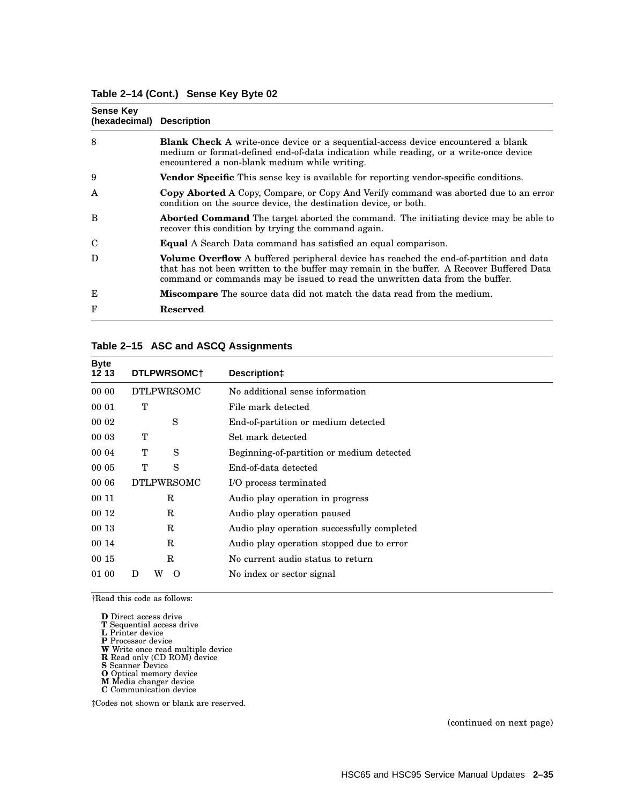#### **Table 2–14 (Cont.) Sense Key Byte 02**

| <b>Sense Key</b><br>(hexadecimal) Description |                                                                                                                                                                                                                                                                             |
|-----------------------------------------------|-----------------------------------------------------------------------------------------------------------------------------------------------------------------------------------------------------------------------------------------------------------------------------|
| 8                                             | <b>Blank Check</b> A write-once device or a sequential-access device encountered a blank<br>medium or format-defined end-of-data indication while reading, or a write-once device<br>encountered a non-blank medium while writing.                                          |
| 9                                             | Vendor Specific This sense key is available for reporting vendor-specific conditions.                                                                                                                                                                                       |
| A                                             | <b>Copy Aborted</b> A Copy, Compare, or Copy And Verify command was aborted due to an error<br>condition on the source device, the destination device, or both.                                                                                                             |
| B                                             | <b>Aborted Command</b> The target aborted the command. The initiating device may be able to<br>recover this condition by trying the command again.                                                                                                                          |
| C                                             | <b>Equal</b> A Search Data command has satisfied an equal comparison.                                                                                                                                                                                                       |
| D                                             | <b>Volume Overflow</b> A buffered peripheral device has reached the end-of-partition and data<br>that has not been written to the buffer may remain in the buffer. A Recover Buffered Data<br>command or commands may be issued to read the unwritten data from the buffer. |
| Е                                             | <b>Miscompare</b> The source data did not match the data read from the medium.                                                                                                                                                                                              |
| F                                             | <b>Reserved</b>                                                                                                                                                                                                                                                             |

#### **Table 2–15 ASC and ASCQ Assignments**

| <b>Byte</b><br>12 13 | DTLPWRSOMC+        | Description‡                                |
|----------------------|--------------------|---------------------------------------------|
| 00 00                | <b>DTLPWRSOMC</b>  | No additional sense information             |
| 00 01                | т                  | File mark detected                          |
| 00 02                | S                  | End-of-partition or medium detected         |
| 00 03                | Т                  | Set mark detected                           |
| 00 04                | Т<br>S             | Beginning-of-partition or medium detected   |
| 00 05                | т<br>S             | End-of-data detected                        |
| 00 06                | <b>DTLPWRSOMC</b>  | I/O process terminated                      |
| 00 11                | R                  | Audio play operation in progress            |
| 00 12                | R                  | Audio play operation paused                 |
| 00 13                | R                  | Audio play operation successfully completed |
| 00 14                | R                  | Audio play operation stopped due to error   |
| 00 15                | R                  | No current audio status to return           |
| 01 00                | W<br>$\Omega$<br>Ð | No index or sector signal                   |

†Read this code as follows:

**D** Direct access drive

**T** Sequential access drive **L** Printer device

**P** Processor device **W** Write once read multiple device **R** Read only (CD ROM) device **S** Scanner Device **O** Optical memory device

- 
- **M** Media changer device **C** Communication device

‡Codes not shown or blank are reserved.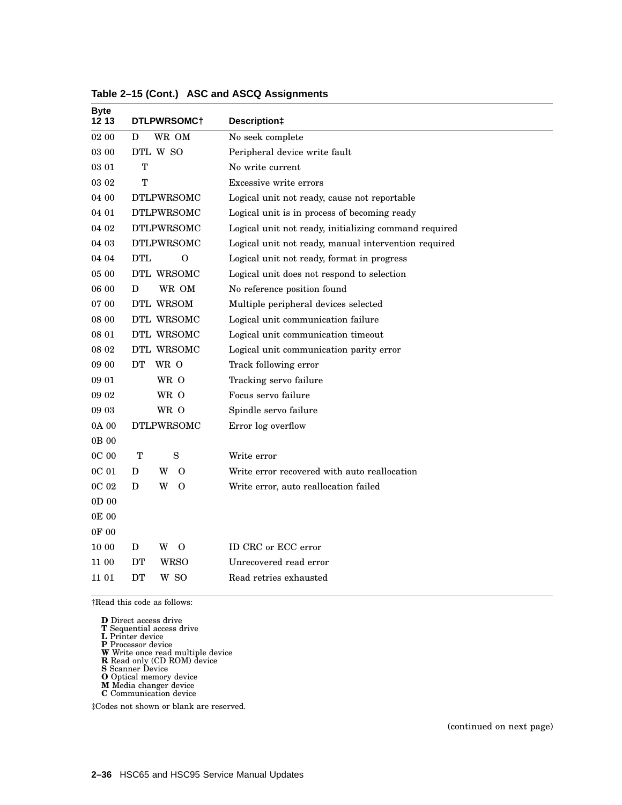| <b>Byte</b><br>12 13 | DTLPWRSOMC+            | Description‡                                          |
|----------------------|------------------------|-------------------------------------------------------|
| 02 00                | WR OM<br>D             | No seek complete                                      |
| 03 00                | DTL W SO               | Peripheral device write fault                         |
| 03 01                | T                      | No write current                                      |
| 03 02                | Т                      | Excessive write errors                                |
| 04 00                | <b>DTLPWRSOMC</b>      | Logical unit not ready, cause not reportable          |
| 04 01                | <b>DTLPWRSOMC</b>      | Logical unit is in process of becoming ready          |
| 04 02                | <b>DTLPWRSOMC</b>      | Logical unit not ready, initializing command required |
| 04 03                | <b>DTLPWRSOMC</b>      | Logical unit not ready, manual intervention required  |
| 04 04                | <b>DTL</b><br>$\Omega$ | Logical unit not ready, format in progress            |
| $05\ 00$             | DTL WRSOMC             | Logical unit does not respond to selection            |
| 06 00                | WR OM<br>D             | No reference position found                           |
| 07 00                | DTL WRSOM              | Multiple peripheral devices selected                  |
| 08 00                | DTL WRSOMC             | Logical unit communication failure                    |
| 08 01                | DTL WRSOMC             | Logical unit communication timeout                    |
| 08 02                | DTL WRSOMC             | Logical unit communication parity error               |
| 09 00                | WR O<br>DT             | Track following error                                 |
| 09 01                | WR O                   | Tracking servo failure                                |
| 09 02                | WR O                   | Focus servo failure                                   |
| 09 03                | WR O                   | Spindle servo failure                                 |
| 0A 00                | <b>DTLPWRSOMC</b>      | Error log overflow                                    |
| 0B 00                |                        |                                                       |
| 0C 00                | $\mathbf T$<br>S       | Write error                                           |
| 0C 01                | W<br>D<br>$\Omega$     | Write error recovered with auto reallocation          |
| 0C 02                | D<br>W<br>$\Omega$     | Write error, auto reallocation failed                 |
| 0D <sub>00</sub>     |                        |                                                       |
| 0E 00                |                        |                                                       |
| 0F 00                |                        |                                                       |
| 10 00                | D<br>W<br>0            | ID CRC or ECC error                                   |
| 11 00                | DТ<br>WRSO             | Unrecovered read error                                |
| 11 01                | W SO<br>DT             | Read retries exhausted                                |

**Table 2–15 (Cont.) ASC and ASCQ Assignments**

- 
- 

**D** Direct access drive<br>**T** Sequential access drive<br>**L** Printer device<br>**P** Processor device<br>**W** Write once read multiple device<br>**R** Read only (CD ROM) device<br>**S** Scanner Device<br>**M** Media changer device<br>**C** Communication de

- 
- 
- 
- 

‡Codes not shown or blank are reserved.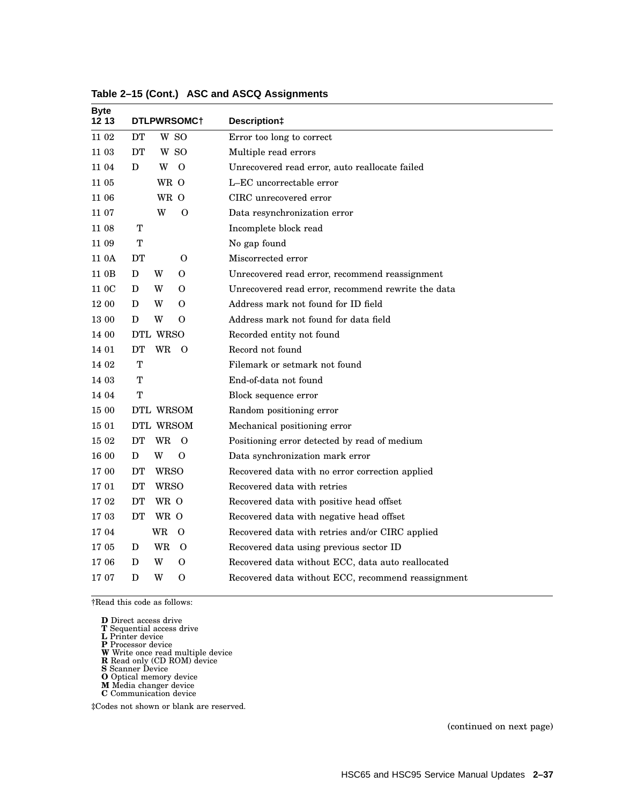| DTLPWRSOMC+                | Description‡                                       |
|----------------------------|----------------------------------------------------|
| <b>DT</b><br>W SO          | Error too long to correct                          |
| W SO<br>DT                 | Multiple read errors                               |
| D<br>W<br>$\Omega$         | Unrecovered read error, auto reallocate failed     |
| WR O                       | L-EC uncorrectable error                           |
| WR O                       | CIRC unrecovered error                             |
| W<br>$\mathbf O$           | Data resynchronization error                       |
| $\mathbf T$                | Incomplete block read                              |
| т                          | No gap found                                       |
| DT<br>$\Omega$             | Miscorrected error                                 |
| D<br>W<br>$\Omega$         | Unrecovered read error, recommend reassignment     |
| W<br>D<br>0                | Unrecovered read error, recommend rewrite the data |
| D<br>W<br>0                | Address mark not found for ID field                |
| D<br>W<br>$\Omega$         | Address mark not found for data field              |
| DTL WRSO                   | Recorded entity not found                          |
| DT<br>WR<br>$\overline{O}$ | Record not found                                   |
| T                          | Filemark or setmark not found                      |
| $\mathbf T$                | End-of-data not found                              |
| $\mathbf T$                | Block sequence error                               |
| DTL WRSOM                  | Random positioning error                           |
| DTL WRSOM                  | Mechanical positioning error                       |
| DT<br>WR<br>$\overline{O}$ | Positioning error detected by read of medium       |
| W<br>$\Omega$<br>D         | Data synchronization mark error                    |
| DT<br><b>WRSO</b>          | Recovered data with no error correction applied    |
| <b>DT</b><br><b>WRSO</b>   | Recovered data with retries                        |
| WR O<br>DТ                 | Recovered data with positive head offset           |
| DT<br>WR O                 | Recovered data with negative head offset           |
| <b>WR</b><br>$\Omega$      | Recovered data with retries and/or CIRC applied    |
| <b>WR</b><br>$\Omega$<br>D | Recovered data using previous sector ID            |
| W<br>$\Omega$<br>D         | Recovered data without ECC, data auto reallocated  |
| D<br>W<br>$\Omega$         | Recovered data without ECC, recommend reassignment |
|                            |                                                    |

**Table 2–15 (Cont.) ASC and ASCQ Assignments**

|        | <b>D</b> Direct access drive |  |
|--------|------------------------------|--|
| $\sim$ |                              |  |

- 
- 

**D** Direct access drive<br>**T** Sequential access drive<br>**L** Printer device<br>**P** Processor device<br>**W** Write once read multiple device<br>**R** Read only (CD ROM) device<br>**S** Scanner Device<br>**M** Media changer device<br>**C** Communication de

- 
- 
- 

‡Codes not shown or blank are reserved.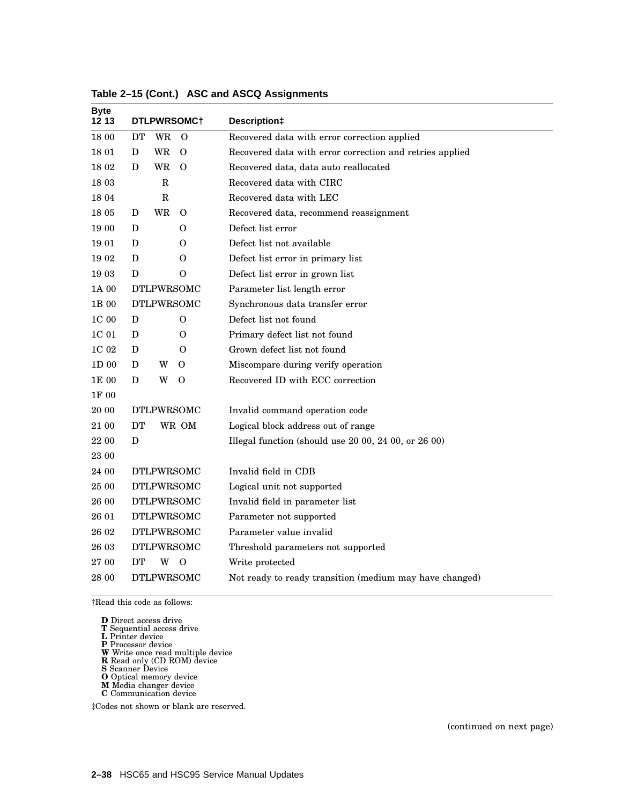| <b>Byte</b><br>12 13 | DTLPWRSOMC+                | Description‡                                             |
|----------------------|----------------------------|----------------------------------------------------------|
| 18 00                | DT<br>WR<br>$\Omega$       | Recovered data with error correction applied             |
| 18 01                | <b>WR</b><br>$\Omega$<br>D | Recovered data with error correction and retries applied |
| 18 02                | WR<br>$\Omega$<br>D        | Recovered data, data auto reallocated                    |
| 18 03                | R                          | Recovered data with CIRC                                 |
| 18 04                | R                          | Recovered data with LEC                                  |
| 18 05                | WR<br>$\Omega$<br>D        | Recovered data, recommend reassignment                   |
| 19 00                | D<br>0                     | Defect list error                                        |
| 19 01                | D<br>$\Omega$              | Defect list not available                                |
| 19 02                | D<br>0                     | Defect list error in primary list                        |
| 19 03                | D<br>0                     | Defect list error in grown list                          |
| 1A 00                | <b>DTLPWRSOMC</b>          | Parameter list length error                              |
| $1\mathrm{B}$ 00     | <b>DTLPWRSOMC</b>          | Synchronous data transfer error                          |
| $1\mathrm{C}$ 00     | D<br>0                     | Defect list not found                                    |
| 1C 01                | D<br>$\Omega$              | Primary defect list not found                            |
| 1C 02                | D<br>$\Omega$              | Grown defect list not found                              |
| 1D 00                | D<br>W<br>0                | Miscompare during verify operation                       |
| 1E 00                | D<br>W<br>$\Omega$         | Recovered ID with ECC correction                         |
| 1F 00                |                            |                                                          |
| 20 00                | <b>DTLPWRSOMC</b>          | Invalid command operation code                           |
| 21 00                | <b>DT</b><br>WR OM         | Logical block address out of range                       |
| 22 00                | D                          | Illegal function (should use 20 00, 24 00, or 26 00)     |
| 23 00                |                            |                                                          |
| 24 00                | <b>DTLPWRSOMC</b>          | Invalid field in CDB                                     |
| 25 00                | <b>DTLPWRSOMC</b>          | Logical unit not supported                               |
| 26 00                | <b>DTLPWRSOMC</b>          | Invalid field in parameter list                          |
| 26 01                | <b>DTLPWRSOMC</b>          | Parameter not supported                                  |
| 26 02                | <b>DTLPWRSOMC</b>          | Parameter value invalid                                  |
| 26 03                | <b>DTLPWRSOMC</b>          | Threshold parameters not supported                       |
| 27 00                | DT<br>W<br>$\Omega$        | Write protected                                          |
| 28 00                | <b>DTLPWRSOMC</b>          | Not ready to ready transition (medium may have changed)  |

**Table 2–15 (Cont.) ASC and ASCQ Assignments**

|        | <b>D</b> Direct access drive |  |  |
|--------|------------------------------|--|--|
| $\sim$ |                              |  |  |

- 
- 

**D** Direct access drive<br>**T** Sequential access drive<br>**L** Printer device<br>**P** Processor device<br>**W** Write once read multiple device<br>**R** Read only (CD ROM) device<br>**S** Scanner Device<br>**M** Media changer device<br>**C** Communication de

- 
- 
- 

‡Codes not shown or blank are reserved.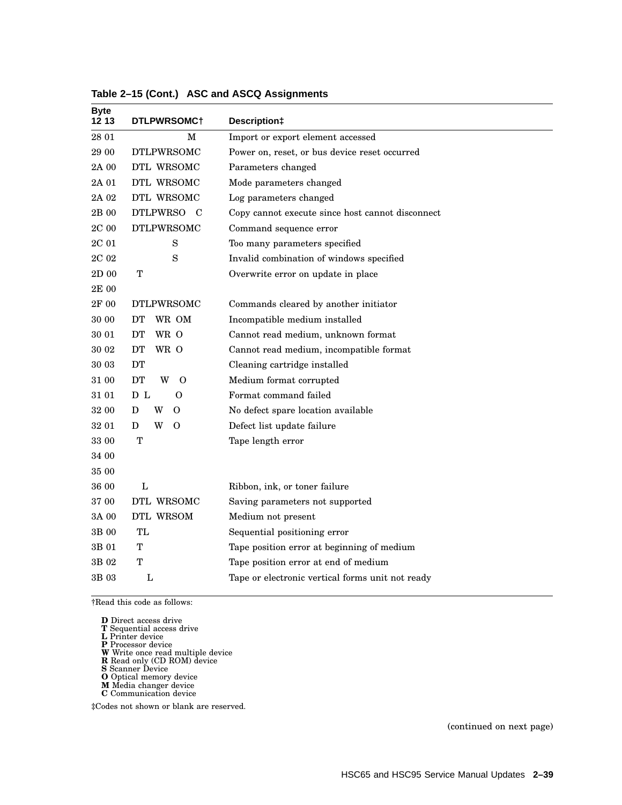| <b>Byte</b><br>12 13 | DTLPWRSOMC+                | Description‡                                     |
|----------------------|----------------------------|--------------------------------------------------|
| 28 01                | M                          | Import or export element accessed                |
| 29 00                | <b>DTLPWRSOMC</b>          | Power on, reset, or bus device reset occurred    |
| 2A 00                | DTL WRSOMC                 | Parameters changed                               |
| 2A 01                | DTL WRSOMC                 | Mode parameters changed                          |
| 2A 02                | DTL WRSOMC                 | Log parameters changed                           |
| 2B 00                | <b>DTLPWRSO</b><br>– C     | Copy cannot execute since host cannot disconnect |
| $2\mathrm{C}$ 00     | <b>DTLPWRSOMC</b>          | Command sequence error                           |
| 2C 01                | S                          | Too many parameters specified                    |
| $2\mathrm{C}$ 0 $2$  | S                          | Invalid combination of windows specified         |
| 2D 00                | T                          | Overwrite error on update in place               |
| 2E 00                |                            |                                                  |
| 2F 00                | <b>DTLPWRSOMC</b>          | Commands cleared by another initiator            |
| 30 00                | DT<br>WR OM                | Incompatible medium installed                    |
| 30 01                | WR O<br>DT                 | Cannot read medium, unknown format               |
| $30\ 02$             | DT<br>WR O                 | Cannot read medium, incompatible format          |
| 30 03                | DT                         | Cleaning cartridge installed                     |
| 31 00                | <b>DT</b><br>W<br>$\Omega$ | Medium format corrupted                          |
| $31\;01$             | D L<br>0                   | Format command failed                            |
| 32 00                | W<br>D<br>$\Omega$         | No defect spare location available               |
| 32 01                | W<br>D<br>$\Omega$         | Defect list update failure                       |
| 33 00                | т                          | Tape length error                                |
| 34 00                |                            |                                                  |
| 35 00                |                            |                                                  |
| 36 00                | L                          | Ribbon, ink, or toner failure                    |
| 37 00                | DTL WRSOMC                 | Saving parameters not supported                  |
| 3A 00                | DTL WRSOM                  | Medium not present                               |
| 3B 00                | TL                         | Sequential positioning error                     |
| 3B 01                | т                          | Tape position error at beginning of medium       |
| 3B 02                | Т                          | Tape position error at end of medium             |
| 3B 03                | L                          | Tape or electronic vertical forms unit not ready |

**Table 2–15 (Cont.) ASC and ASCQ Assignments**

- 
- 

**D** Direct access drive<br>**T** Sequential access drive<br>**L** Printer device<br>**P** Processor device<br>**W** Write once read multiple device<br>**R** Read only (CD ROM) device<br>**S** Scanner Device<br>**M** Media changer device<br>**C** Communication de

- 
- 

‡Codes not shown or blank are reserved.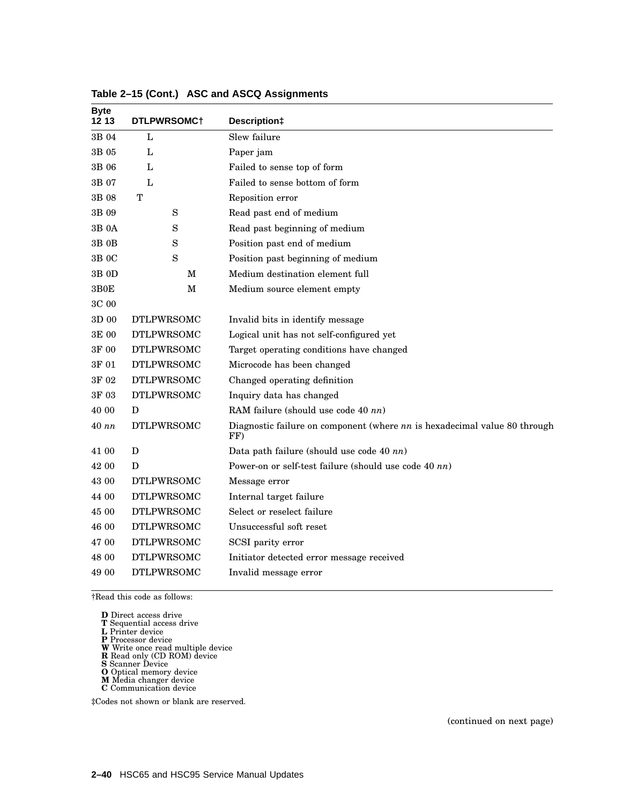| <b>Byte</b><br>12 13 | DTLPWRSOMC+       | Description‡                                                                       |
|----------------------|-------------------|------------------------------------------------------------------------------------|
| 3B 04                | L                 | Slew failure                                                                       |
| 3B 05                | L                 | Paper jam                                                                          |
| 3B 06                | L                 | Failed to sense top of form                                                        |
| 3B 07                | L                 | Failed to sense bottom of form                                                     |
| 3B 08                | т                 | Reposition error                                                                   |
| 3B 09                | S                 | Read past end of medium                                                            |
| 3B 0A                | S                 | Read past beginning of medium                                                      |
| 3B 0B                | S                 | Position past end of medium                                                        |
| 3B 0C                | S                 | Position past beginning of medium                                                  |
| 3B 0D                | M                 | Medium destination element full                                                    |
| $3\mathrm{BOE}$      | М                 | Medium source element empty                                                        |
| 3C 00                |                   |                                                                                    |
| 3D 00                | <b>DTLPWRSOMC</b> | Invalid bits in identify message                                                   |
| 3E 00                | <b>DTLPWRSOMC</b> | Logical unit has not self-configured yet                                           |
| 3F 00                | <b>DTLPWRSOMC</b> | Target operating conditions have changed                                           |
| 3F 01                | <b>DTLPWRSOMC</b> | Microcode has been changed                                                         |
| 3F 02                | <b>DTLPWRSOMC</b> | Changed operating definition                                                       |
| 3F 03                | <b>DTLPWRSOMC</b> | Inquiry data has changed                                                           |
| 40 00                | D                 | RAM failure (should use code 40 nn)                                                |
| 40 nn                | <b>DTLPWRSOMC</b> | Diagnostic failure on component (where $nn$ is hexadecimal value 80 through<br>FF) |
| 41 00                | D                 | Data path failure (should use code 40 nn)                                          |
| 42 00                | D                 | Power-on or self-test failure (should use code 40 nn)                              |
| 43 00                | <b>DTLPWRSOMC</b> | Message error                                                                      |
| 44 00                | <b>DTLPWRSOMC</b> | Internal target failure                                                            |
| 45 00                | <b>DTLPWRSOMC</b> | Select or reselect failure                                                         |
| 46 00                | <b>DTLPWRSOMC</b> | Unsuccessful soft reset                                                            |
| 47 00                | <b>DTLPWRSOMC</b> | SCSI parity error                                                                  |
| 48 00                | <b>DTLPWRSOMC</b> | Initiator detected error message received                                          |
| 49 00                | <b>DTLPWRSOMC</b> | Invalid message error                                                              |

**Table 2–15 (Cont.) ASC and ASCQ Assignments**

- 
- 
- 

**D** Direct access drive<br>**T** Sequential access drive<br>**L** Printer device<br>**P** Processor device<br>**W** Write once read multiple device<br>**R** Read only (CD ROM) device<br>**O** Optical memory device<br>**M** Media changer device

- 
- 
- 
- **C** Communication device

‡Codes not shown or blank are reserved.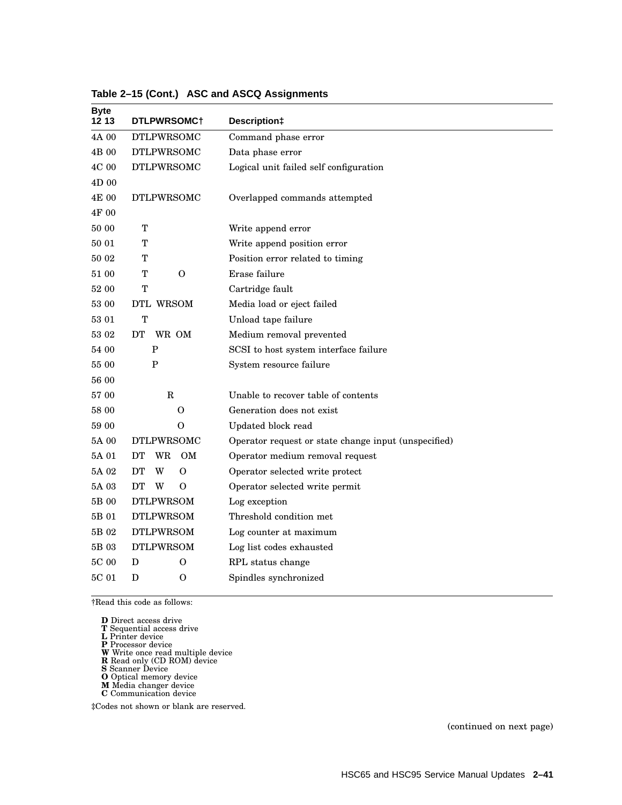| <b>Byte</b><br>12 13 | DTLPWRSOMC+           | Description‡                                         |
|----------------------|-----------------------|------------------------------------------------------|
| 4A 00                | <b>DTLPWRSOMC</b>     | Command phase error                                  |
| 4B 00                | <b>DTLPWRSOMC</b>     | Data phase error                                     |
| 4C 00                | <b>DTLPWRSOMC</b>     | Logical unit failed self configuration               |
| 4D 00                |                       |                                                      |
| 4E 00                | <b>DTLPWRSOMC</b>     | Overlapped commands attempted                        |
| 4F 00                |                       |                                                      |
| 50 00                | T                     | Write append error                                   |
| 50 01                | т                     | Write append position error                          |
| 50 02                | т                     | Position error related to timing                     |
| 51 00                | т<br>$\Omega$         | Erase failure                                        |
| 52 00                | T                     | Cartridge fault                                      |
| 53 00                | DTL WRSOM             | Media load or eject failed                           |
| 53 01                | T                     | Unload tape failure                                  |
| 53 02                | DT<br>WR OM           | Medium removal prevented                             |
| 54 00                | $\mathbf P$           | SCSI to host system interface failure                |
| 55 00                | P                     | System resource failure                              |
| 56 00                |                       |                                                      |
| 57 00                | $\mathbf R$           | Unable to recover table of contents                  |
| 58 00                | $\Omega$              | Generation does not exist                            |
| 59 00                | 0                     | Updated block read                                   |
| 5A 00                | <b>DTLPWRSOMC</b>     | Operator request or state change input (unspecified) |
| 5A 01                | DT<br>WR<br><b>OM</b> | Operator medium removal request                      |
| 5A 02                | DT<br>W<br>$\Omega$   | Operator selected write protect                      |
| 5A 03                | DT<br>W<br>0          | Operator selected write permit                       |
| 5B 00                | <b>DTLPWRSOM</b>      | Log exception                                        |
| 5B 01                | <b>DTLPWRSOM</b>      | Threshold condition met                              |
| 5B 02                | <b>DTLPWRSOM</b>      | Log counter at maximum                               |
| 5B 03                | <b>DTLPWRSOM</b>      | Log list codes exhausted                             |
| $5\mathrm{C}$ 00     | D<br>$\Omega$         | RPL status change                                    |
| 5C 01                | D<br>$\Omega$         | Spindles synchronized                                |

#### **Table 2–15 (Cont.) ASC and ASCQ Assignments**

†Read this code as follows:

- 
- 

**D** Direct access drive<br>**T** Sequential access drive<br>**L** Printer device<br>**P** Processor device<br>**W** Write once read multiple device<br>**R** Read only (CD ROM) device<br>**S** Scanner Device<br>**M** Media changer device<br>**C** Communication de

- 
- 
- 
- 
- 

‡Codes not shown or blank are reserved.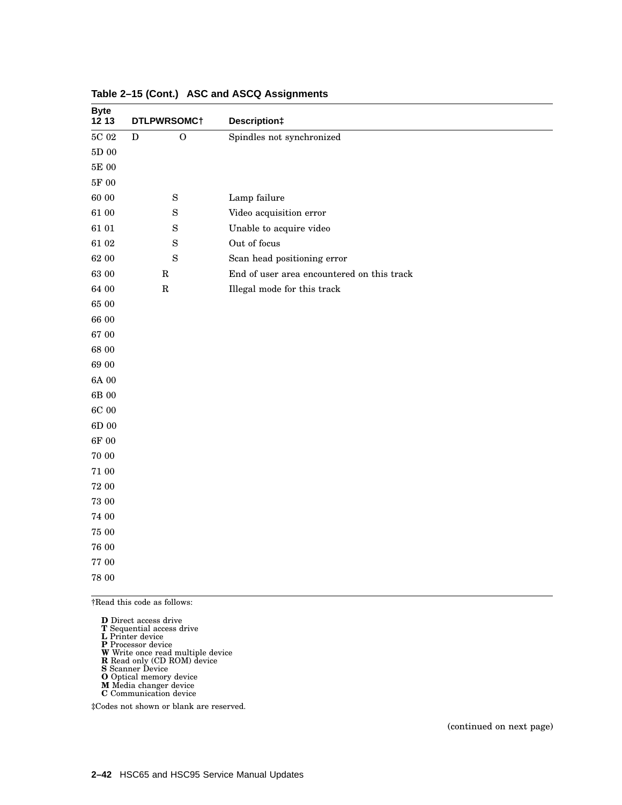| <b>Byte</b><br>1213 | DTLPWRSOMC <sup>+</sup>     | Description‡                               |
|---------------------|-----------------------------|--------------------------------------------|
| $5\mathrm{C}$ 02    | ${\bf D}$<br>$\overline{O}$ | Spindles not synchronized                  |
| $5\mathrm{D}$ 00    |                             |                                            |
| 5E 00               |                             |                                            |
| $5\mathrm{F}$ 00    |                             |                                            |
| 60 00               | $\mathbf S$                 | Lamp failure                               |
| $61\;00$            | $\mathbf S$                 | Video acquisition error                    |
| 61 01               | $\mathbf S$                 | Unable to acquire video                    |
| 61 02               | $\mathbf S$                 | Out of focus                               |
| 62 00               | $\mathbf S$                 | Scan head positioning error                |
| 63 00               | ${\bf R}$                   | End of user area encountered on this track |
| 64 00               | ${\bf R}$                   | Illegal mode for this track                |
| 65 00               |                             |                                            |
| 66 00               |                             |                                            |
| 67 00               |                             |                                            |
| 68 00               |                             |                                            |
| 69 00               |                             |                                            |
| 6A 00               |                             |                                            |
| $6\mathrm{B}$ 00    |                             |                                            |
| 6C 00               |                             |                                            |
| $6\mathrm{D}$ 00    |                             |                                            |
| $6\mathrm{F}$ 00    |                             |                                            |
| 70 00               |                             |                                            |
| 71 00               |                             |                                            |
| 72 00               |                             |                                            |
| $73\ 00$            |                             |                                            |
| 74 00               |                             |                                            |
| $75\ 00$            |                             |                                            |
| 76 00               |                             |                                            |
| $77\ 00$            |                             |                                            |
| $78\ 00$            |                             |                                            |

#### **Table 2–15 (Cont.) ASC and ASCQ Assignments**

†Read this code as follows:

- 
- 

**D** Direct access drive<br>**T** Sequential access drive<br>**L** Printer device<br>**P** Processor device<br>**W** Write once read multiple device<br>**R** Read only (CD ROM) device<br>**S** Scanner Device<br>**M** Media changer device<br>**C** Communication de

- 
- 
- 
- 

‡Codes not shown or blank are reserved.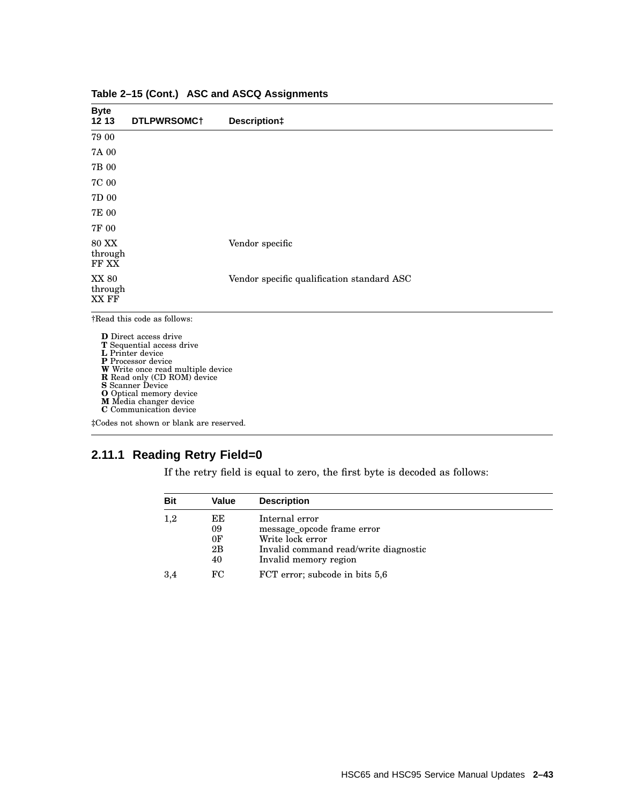| <b>Byte</b><br>12 13             | DTLPWRSOMC+   | Description‡                               |
|----------------------------------|---------------|--------------------------------------------|
| 79 00                            |               |                                            |
| 7A 00                            |               |                                            |
| 7B 00                            |               |                                            |
| 7C 00                            |               |                                            |
| 7D 00                            |               |                                            |
| 7E 00                            |               |                                            |
| 7F 00                            |               |                                            |
| <b>80 XX</b><br>through<br>FF XX |               | Vendor specific                            |
| XX 80<br>through<br>XX FF        |               | Vendor specific qualification standard ASC |
|                                  | $\sim$ $\sim$ |                                            |

**Table 2–15 (Cont.) ASC and ASCQ Assignments**

**D** Direct access drive<br> **T** Sequential access drive<br> **P** Processor device<br> **W** Write once read multiple device<br> **R** Read only (CD ROM) device<br> **S** Scanner Device **O** Optical memory device **M** Media changer device **C** Communication device

‡Codes not shown or blank are reserved.

# **2.11.1 Reading Retry Field=0**

If the retry field is equal to zero, the first byte is decoded as follows:

| <b>Bit</b> | Value                                  | <b>Description</b>                                                                                                                 |
|------------|----------------------------------------|------------------------------------------------------------------------------------------------------------------------------------|
| 1,2        | EЕ<br>09<br>0 <sub>F</sub><br>2B<br>40 | Internal error<br>message_opcode frame error<br>Write lock error<br>Invalid command read/write diagnostic<br>Invalid memory region |
| 3,4        | FC                                     | FCT error; subcode in bits 5,6                                                                                                     |